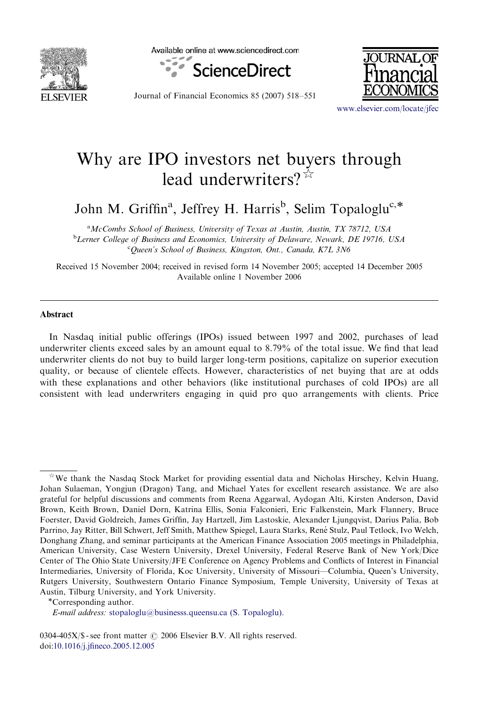

Available online at www.sciencedirect.com





Journal of Financial Economics 85 (2007) 518–551

<www.elsevier.com/locate/jfec>

# Why are IPO investors net buyers through lead underwriters?  $\mathbb{R}^2$

John M. Griffin<sup>a</sup>, Jeffrey H. Harris<sup>b</sup>, Selim Topaloglu<sup>c,\*</sup>

<sup>a</sup>McCombs School of Business, University of Texas at Austin, Austin, TX 78712, USA <sup>b</sup>Lerner College of Business and Economics, University of Delaware, Newark, DE 19716, USA <sup>c</sup>Queen's School of Business, Kingston, Ont., Canada, K7L 3N6

Received 15 November 2004; received in revised form 14 November 2005; accepted 14 December 2005 Available online 1 November 2006

#### Abstract

In Nasdaq initial public offerings (IPOs) issued between 1997 and 2002, purchases of lead underwriter clients exceed sales by an amount equal to 8.79% of the total issue. We find that lead underwriter clients do not buy to build larger long-term positions, capitalize on superior execution quality, or because of clientele effects. However, characteristics of net buying that are at odds with these explanations and other behaviors (like institutional purchases of cold IPOs) are all consistent with lead underwriters engaging in quid pro quo arrangements with clients. Price

 $*$  We thank the Nasdaq Stock Market for providing essential data and Nicholas Hirschey, Kelvin Huang, Johan Sulaeman, Yongjun (Dragon) Tang, and Michael Yates for excellent research assistance. We are also grateful for helpful discussions and comments from Reena Aggarwal, Aydogan Alti, Kirsten Anderson, David Brown, Keith Brown, Daniel Dorn, Katrina Ellis, Sonia Falconieri, Eric Falkenstein, Mark Flannery, Bruce Foerster, David Goldreich, James Griffin, Jay Hartzell, Jim Lastoskie, Alexander Ljungqvist, Darius Palia, Bob Parrino, Jay Ritter, Bill Schwert, Jeff Smith, Matthew Spiegel, Laura Starks, René Stulz, Paul Tetlock, Ivo Welch, Donghang Zhang, and seminar participants at the American Finance Association 2005 meetings in Philadelphia, American University, Case Western University, Drexel University, Federal Reserve Bank of New York/Dice Center of The Ohio State University/JFE Conference on Agency Problems and Conflicts of Interest in Financial Intermediaries, University of Florida, Koc University, University of Missouri—Columbia, Queen's University, Rutgers University, Southwestern Ontario Finance Symposium, Temple University, University of Texas at Austin, Tilburg University, and York University.

Corresponding author.

E-mail address: [stopaloglu@businesss.queensu.ca \(S. Topaloglu\).](mailto:stopaloglu@businesss.queensu.ca)

<sup>0304-405</sup> $X/S$  - see front matter  $\odot$  2006 Elsevier B.V. All rights reserved. doi[:10.1016/j.jfineco.2005.12.005](dx.doi.org/10.1016/j.jfineco.2005.12.005)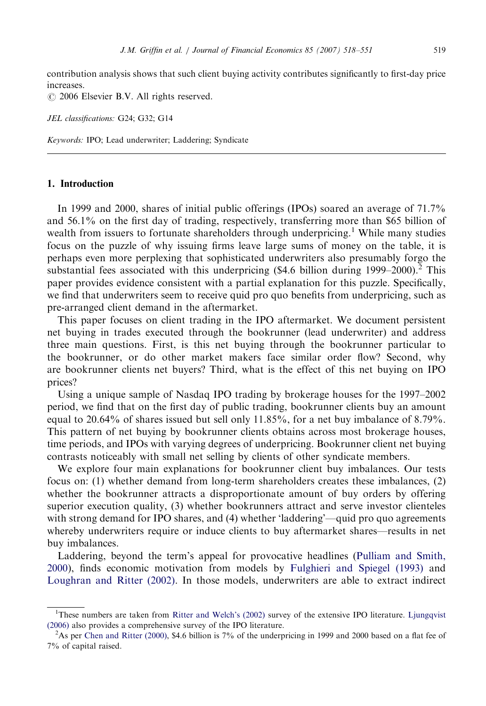contribution analysis shows that such client buying activity contributes significantly to first-day price increases.

 $\odot$  2006 Elsevier B.V. All rights reserved.

JEL classifications: G24; G32; G14

Keywords: IPO; Lead underwriter; Laddering; Syndicate

## 1. Introduction

In 1999 and 2000, shares of initial public offerings (IPOs) soared an average of 71.7% and 56.1% on the first day of trading, respectively, transferring more than \$65 billion of wealth from issuers to fortunate shareholders through underpricing.<sup>1</sup> While many studies focus on the puzzle of why issuing firms leave large sums of money on the table, it is perhaps even more perplexing that sophisticated underwriters also presumably forgo the substantial fees associated with this underpricing  $(\$4.6 \text{ billion during } 1999-2000).$ <sup>2</sup> This paper provides evidence consistent with a partial explanation for this puzzle. Specifically, we find that underwriters seem to receive quid pro quo benefits from underpricing, such as pre-arranged client demand in the aftermarket.

This paper focuses on client trading in the IPO aftermarket. We document persistent net buying in trades executed through the bookrunner (lead underwriter) and address three main questions. First, is this net buying through the bookrunner particular to the bookrunner, or do other market makers face similar order flow? Second, why are bookrunner clients net buyers? Third, what is the effect of this net buying on IPO prices?

Using a unique sample of Nasdaq IPO trading by brokerage houses for the 1997–2002 period, we find that on the first day of public trading, bookrunner clients buy an amount equal to 20.64% of shares issued but sell only 11.85%, for a net buy imbalance of 8.79%. This pattern of net buying by bookrunner clients obtains across most brokerage houses, time periods, and IPOs with varying degrees of underpricing. Bookrunner client net buying contrasts noticeably with small net selling by clients of other syndicate members.

We explore four main explanations for bookrunner client buy imbalances. Our tests focus on: (1) whether demand from long-term shareholders creates these imbalances, (2) whether the bookrunner attracts a disproportionate amount of buy orders by offering superior execution quality, (3) whether bookrunners attract and serve investor clienteles with strong demand for IPO shares, and (4) whether 'laddering'—quid pro quo agreements whereby underwriters require or induce clients to buy aftermarket shares—results in net buy imbalances.

Laddering, beyond the term's appeal for provocative headlines [\(Pulliam and Smith,](#page-33-0) [2000](#page-33-0)), finds economic motivation from models by [Fulghieri and Spiegel \(1993\)](#page-32-0) and [Loughran and Ritter \(2002\).](#page-33-0) In those models, underwriters are able to extract indirect

<sup>&</sup>lt;sup>1</sup>These numbers are taken from [Ritter and Welch's \(2002\)](#page-33-0) survey of the extensive IPO literature. [Ljungqvist](#page-32-0) [\(2006\)](#page-32-0) also provides a comprehensive survey of the IPO literature. <sup>2</sup>

<sup>&</sup>lt;sup>2</sup>As per [Chen and Ritter \(2000\),](#page-32-0) \$4.6 billion is 7% of the underpricing in 1999 and 2000 based on a flat fee of 7% of capital raised.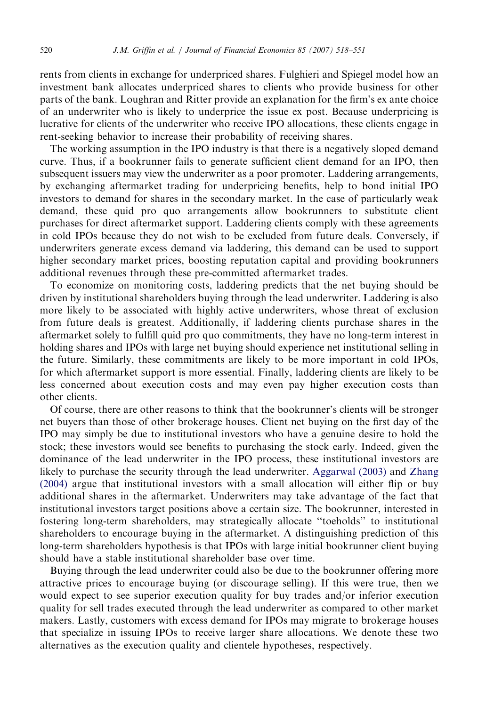rents from clients in exchange for underpriced shares. Fulghieri and Spiegel model how an investment bank allocates underpriced shares to clients who provide business for other parts of the bank. Loughran and Ritter provide an explanation for the firm's ex ante choice of an underwriter who is likely to underprice the issue ex post. Because underpricing is lucrative for clients of the underwriter who receive IPO allocations, these clients engage in rent-seeking behavior to increase their probability of receiving shares.

The working assumption in the IPO industry is that there is a negatively sloped demand curve. Thus, if a bookrunner fails to generate sufficient client demand for an IPO, then subsequent issuers may view the underwriter as a poor promoter. Laddering arrangements, by exchanging aftermarket trading for underpricing benefits, help to bond initial IPO investors to demand for shares in the secondary market. In the case of particularly weak demand, these quid pro quo arrangements allow bookrunners to substitute client purchases for direct aftermarket support. Laddering clients comply with these agreements in cold IPOs because they do not wish to be excluded from future deals. Conversely, if underwriters generate excess demand via laddering, this demand can be used to support higher secondary market prices, boosting reputation capital and providing bookrunners additional revenues through these pre-committed aftermarket trades.

To economize on monitoring costs, laddering predicts that the net buying should be driven by institutional shareholders buying through the lead underwriter. Laddering is also more likely to be associated with highly active underwriters, whose threat of exclusion from future deals is greatest. Additionally, if laddering clients purchase shares in the aftermarket solely to fulfill quid pro quo commitments, they have no long-term interest in holding shares and IPOs with large net buying should experience net institutional selling in the future. Similarly, these commitments are likely to be more important in cold IPOs, for which aftermarket support is more essential. Finally, laddering clients are likely to be less concerned about execution costs and may even pay higher execution costs than other clients.

Of course, there are other reasons to think that the bookrunner's clients will be stronger net buyers than those of other brokerage houses. Client net buying on the first day of the IPO may simply be due to institutional investors who have a genuine desire to hold the stock; these investors would see benefits to purchasing the stock early. Indeed, given the dominance of the lead underwriter in the IPO process, these institutional investors are likely to purchase the security through the lead underwriter. [Aggarwal \(2003\)](#page-32-0) and [Zhang](#page-33-0) [\(2004\)](#page-33-0) argue that institutional investors with a small allocation will either flip or buy additional shares in the aftermarket. Underwriters may take advantage of the fact that institutional investors target positions above a certain size. The bookrunner, interested in fostering long-term shareholders, may strategically allocate ''toeholds'' to institutional shareholders to encourage buying in the aftermarket. A distinguishing prediction of this long-term shareholders hypothesis is that IPOs with large initial bookrunner client buying should have a stable institutional shareholder base over time.

Buying through the lead underwriter could also be due to the bookrunner offering more attractive prices to encourage buying (or discourage selling). If this were true, then we would expect to see superior execution quality for buy trades and/or inferior execution quality for sell trades executed through the lead underwriter as compared to other market makers. Lastly, customers with excess demand for IPOs may migrate to brokerage houses that specialize in issuing IPOs to receive larger share allocations. We denote these two alternatives as the execution quality and clientele hypotheses, respectively.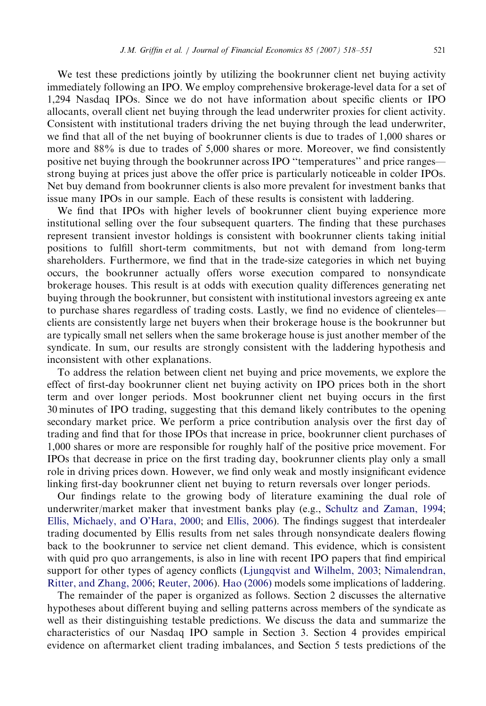We test these predictions jointly by utilizing the bookrunner client net buying activity immediately following an IPO. We employ comprehensive brokerage-level data for a set of 1,294 Nasdaq IPOs. Since we do not have information about specific clients or IPO allocants, overall client net buying through the lead underwriter proxies for client activity. Consistent with institutional traders driving the net buying through the lead underwriter, we find that all of the net buying of bookrunner clients is due to trades of 1,000 shares or more and 88% is due to trades of 5,000 shares or more. Moreover, we find consistently positive net buying through the bookrunner across IPO ''temperatures'' and price ranges strong buying at prices just above the offer price is particularly noticeable in colder IPOs. Net buy demand from bookrunner clients is also more prevalent for investment banks that issue many IPOs in our sample. Each of these results is consistent with laddering.

We find that IPOs with higher levels of bookrunner client buying experience more institutional selling over the four subsequent quarters. The finding that these purchases represent transient investor holdings is consistent with bookrunner clients taking initial positions to fulfill short-term commitments, but not with demand from long-term shareholders. Furthermore, we find that in the trade-size categories in which net buying occurs, the bookrunner actually offers worse execution compared to nonsyndicate brokerage houses. This result is at odds with execution quality differences generating net buying through the bookrunner, but consistent with institutional investors agreeing ex ante to purchase shares regardless of trading costs. Lastly, we find no evidence of clienteles clients are consistently large net buyers when their brokerage house is the bookrunner but are typically small net sellers when the same brokerage house is just another member of the syndicate. In sum, our results are strongly consistent with the laddering hypothesis and inconsistent with other explanations.

To address the relation between client net buying and price movements, we explore the effect of first-day bookrunner client net buying activity on IPO prices both in the short term and over longer periods. Most bookrunner client net buying occurs in the first 30 minutes of IPO trading, suggesting that this demand likely contributes to the opening secondary market price. We perform a price contribution analysis over the first day of trading and find that for those IPOs that increase in price, bookrunner client purchases of 1,000 shares or more are responsible for roughly half of the positive price movement. For IPOs that decrease in price on the first trading day, bookrunner clients play only a small role in driving prices down. However, we find only weak and mostly insignificant evidence linking first-day bookrunner client net buying to return reversals over longer periods.

Our findings relate to the growing body of literature examining the dual role of underwriter/market maker that investment banks play (e.g., [Schultz and Zaman, 1994;](#page-33-0) [Ellis, Michaely, and O'Hara, 2000](#page-32-0); and [Ellis, 2006](#page-32-0)). The findings suggest that interdealer trading documented by Ellis results from net sales through nonsyndicate dealers flowing back to the bookrunner to service net client demand. This evidence, which is consistent with quid pro quo arrangements, is also in line with recent IPO papers that find empirical support for other types of agency conflicts [\(Ljungqvist and Wilhelm, 2003](#page-33-0); [Nimalendran,](#page-33-0) [Ritter, and Zhang, 2006;](#page-33-0) [Reuter, 2006\)](#page-33-0). [Hao \(2006\)](#page-32-0) models some implications of laddering.

The remainder of the paper is organized as follows. Section 2 discusses the alternative hypotheses about different buying and selling patterns across members of the syndicate as well as their distinguishing testable predictions. We discuss the data and summarize the characteristics of our Nasdaq IPO sample in Section 3. Section 4 provides empirical evidence on aftermarket client trading imbalances, and Section 5 tests predictions of the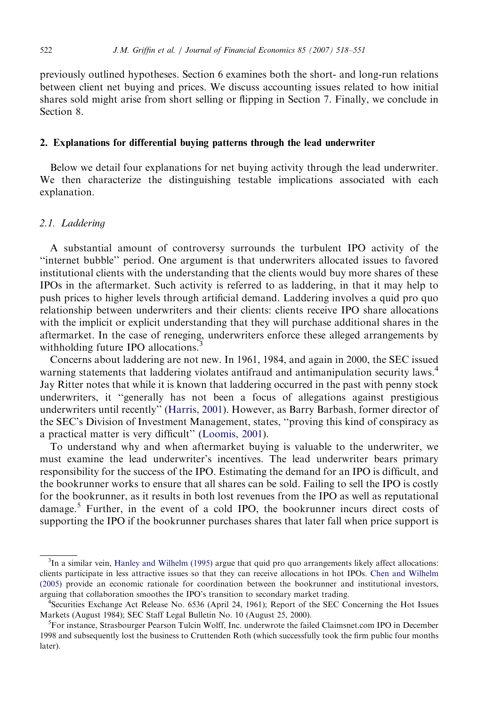previously outlined hypotheses. Section 6 examines both the short- and long-run relations between client net buying and prices. We discuss accounting issues related to how initial shares sold might arise from short selling or flipping in Section 7. Finally, we conclude in Section 8.

## 2. Explanations for differential buying patterns through the lead underwriter

Below we detail four explanations for net buying activity through the lead underwriter. We then characterize the distinguishing testable implications associated with each explanation.

## 2.1. Laddering

A substantial amount of controversy surrounds the turbulent IPO activity of the ''internet bubble'' period. One argument is that underwriters allocated issues to favored institutional clients with the understanding that the clients would buy more shares of these IPOs in the aftermarket. Such activity is referred to as laddering, in that it may help to push prices to higher levels through artificial demand. Laddering involves a quid pro quo relationship between underwriters and their clients: clients receive IPO share allocations with the implicit or explicit understanding that they will purchase additional shares in the aftermarket. In the case of reneging, underwriters enforce these alleged arrangements by withholding future IPO allocations.<sup>3</sup>

Concerns about laddering are not new. In 1961, 1984, and again in 2000, the SEC issued warning statements that laddering violates antifraud and antimanipulation security laws.4 Jay Ritter notes that while it is known that laddering occurred in the past with penny stock underwriters, it ''generally has not been a focus of allegations against prestigious underwriters until recently'' ([Harris, 2001\)](#page-32-0). However, as Barry Barbash, former director of the SEC's Division of Investment Management, states, ''proving this kind of conspiracy as a practical matter is very difficult'' ([Loomis, 2001](#page-33-0)).

To understand why and when aftermarket buying is valuable to the underwriter, we must examine the lead underwriter's incentives. The lead underwriter bears primary responsibility for the success of the IPO. Estimating the demand for an IPO is difficult, and the bookrunner works to ensure that all shares can be sold. Failing to sell the IPO is costly for the bookrunner, as it results in both lost revenues from the IPO as well as reputational damage.<sup>5</sup> Further, in the event of a cold IPO, the bookrunner incurs direct costs of supporting the IPO if the bookrunner purchases shares that later fall when price support is

<sup>&</sup>lt;sup>3</sup>In a similar vein, [Hanley and Wilhelm \(1995\)](#page-32-0) argue that quid pro quo arrangements likely affect allocations: clients participate in less attractive issues so that they can receive allocations in hot IPOs. [Chen and Wilhelm](#page-32-0) [\(2005\)](#page-32-0) provide an economic rationale for coordination between the bookrunner and institutional investors, arguing that collaboration smoothes the IPO's transition to secondary market trading. <sup>4</sup>

<sup>&</sup>lt;sup>4</sup>Securities Exchange Act Release No. 6536 (April 24, 1961); Report of the SEC Concerning the Hot Issues Markets (August 1984); SEC Staff Legal Bulletin No. 10 (August 25, 2000).

<sup>&</sup>lt;sup>5</sup>For instance, Strasbourger Pearson Tulcin Wolff, Inc. underwrote the failed Claimsnet.com IPO in December 1998 and subsequently lost the business to Cruttenden Roth (which successfully took the firm public four months later).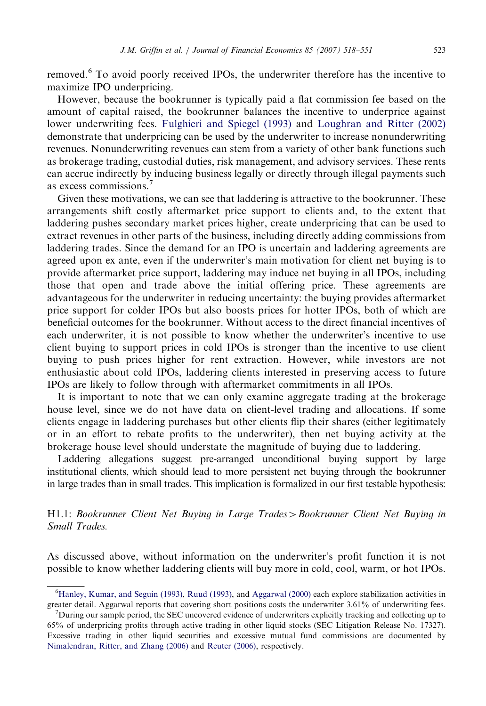removed.<sup>6</sup> To avoid poorly received IPOs, the underwriter therefore has the incentive to maximize IPO underpricing.

However, because the bookrunner is typically paid a flat commission fee based on the amount of capital raised, the bookrunner balances the incentive to underprice against lower underwriting fees. [Fulghieri and Spiegel \(1993\)](#page-32-0) and [Loughran and Ritter \(2002\)](#page-33-0) demonstrate that underpricing can be used by the underwriter to increase nonunderwriting revenues. Nonunderwriting revenues can stem from a variety of other bank functions such as brokerage trading, custodial duties, risk management, and advisory services. These rents can accrue indirectly by inducing business legally or directly through illegal payments such as excess commissions.<sup>7</sup>

Given these motivations, we can see that laddering is attractive to the bookrunner. These arrangements shift costly aftermarket price support to clients and, to the extent that laddering pushes secondary market prices higher, create underpricing that can be used to extract revenues in other parts of the business, including directly adding commissions from laddering trades. Since the demand for an IPO is uncertain and laddering agreements are agreed upon ex ante, even if the underwriter's main motivation for client net buying is to provide aftermarket price support, laddering may induce net buying in all IPOs, including those that open and trade above the initial offering price. These agreements are advantageous for the underwriter in reducing uncertainty: the buying provides aftermarket price support for colder IPOs but also boosts prices for hotter IPOs, both of which are beneficial outcomes for the bookrunner. Without access to the direct financial incentives of each underwriter, it is not possible to know whether the underwriter's incentive to use client buying to support prices in cold IPOs is stronger than the incentive to use client buying to push prices higher for rent extraction. However, while investors are not enthusiastic about cold IPOs, laddering clients interested in preserving access to future IPOs are likely to follow through with aftermarket commitments in all IPOs.

It is important to note that we can only examine aggregate trading at the brokerage house level, since we do not have data on client-level trading and allocations. If some clients engage in laddering purchases but other clients flip their shares (either legitimately or in an effort to rebate profits to the underwriter), then net buying activity at the brokerage house level should understate the magnitude of buying due to laddering.

Laddering allegations suggest pre-arranged unconditional buying support by large institutional clients, which should lead to more persistent net buying through the bookrunner in large trades than in small trades. This implication is formalized in our first testable hypothesis:

H1.1: Bookrunner Client Net Buying in Large Trades > Bookrunner Client Net Buying in Small Trades.

As discussed above, without information on the underwriter's profit function it is not possible to know whether laddering clients will buy more in cold, cool, warm, or hot IPOs.

<sup>&</sup>lt;sup>6</sup>[Hanley, Kumar, and Seguin \(1993\),](#page-32-0) [Ruud \(1993\)](#page-33-0), and [Aggarwal \(2000\)](#page-32-0) each explore stabilization activities in greater detail. Aggarwal reports that covering short positions costs the underwriter 3.61% of underwriting fees.

<sup>&</sup>lt;sup>7</sup>During our sample period, the SEC uncovered evidence of underwriters explicitly tracking and collecting up to 65% of underpricing profits through active trading in other liquid stocks (SEC Litigation Release No. 17327). Excessive trading in other liquid securities and excessive mutual fund commissions are documented by [Nimalendran, Ritter, and Zhang \(2006\)](#page-33-0) and [Reuter \(2006\),](#page-33-0) respectively.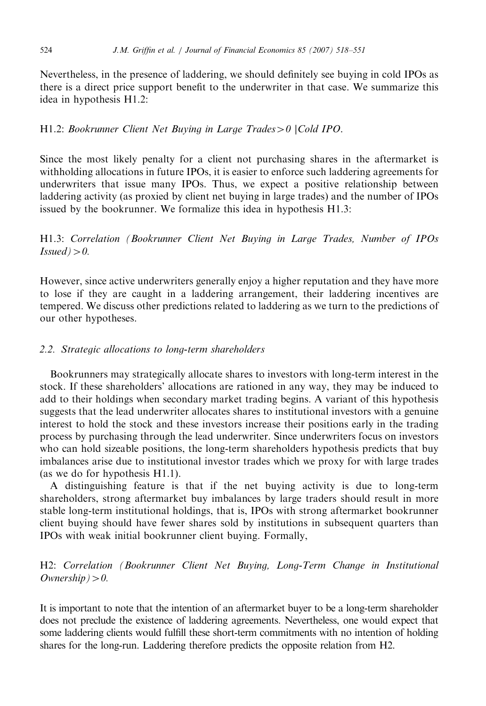Nevertheless, in the presence of laddering, we should definitely see buying in cold IPOs as there is a direct price support benefit to the underwriter in that case. We summarize this idea in hypothesis H1.2:

## H1.2: Bookrunner Client Net Buying in Large Trades > 0 | Cold IPO.

Since the most likely penalty for a client not purchasing shares in the aftermarket is withholding allocations in future IPOs, it is easier to enforce such laddering agreements for underwriters that issue many IPOs. Thus, we expect a positive relationship between laddering activity (as proxied by client net buying in large trades) and the number of IPOs issued by the bookrunner. We formalize this idea in hypothesis H1.3:

H1.3: Correlation (Bookrunner Client Net Buying in Large Trades, Number of IPOs  $Issued$ ) > 0.

However, since active underwriters generally enjoy a higher reputation and they have more to lose if they are caught in a laddering arrangement, their laddering incentives are tempered. We discuss other predictions related to laddering as we turn to the predictions of our other hypotheses.

## 2.2. Strategic allocations to long-term shareholders

Bookrunners may strategically allocate shares to investors with long-term interest in the stock. If these shareholders' allocations are rationed in any way, they may be induced to add to their holdings when secondary market trading begins. A variant of this hypothesis suggests that the lead underwriter allocates shares to institutional investors with a genuine interest to hold the stock and these investors increase their positions early in the trading process by purchasing through the lead underwriter. Since underwriters focus on investors who can hold sizeable positions, the long-term shareholders hypothesis predicts that buy imbalances arise due to institutional investor trades which we proxy for with large trades (as we do for hypothesis H1.1).

A distinguishing feature is that if the net buying activity is due to long-term shareholders, strong aftermarket buy imbalances by large traders should result in more stable long-term institutional holdings, that is, IPOs with strong aftermarket bookrunner client buying should have fewer shares sold by institutions in subsequent quarters than IPOs with weak initial bookrunner client buying. Formally,

# H2: Correlation (Bookrunner Client Net Buying, Long-Term Change in Institutional Ownership)  $>0$ .

It is important to note that the intention of an aftermarket buyer to be a long-term shareholder does not preclude the existence of laddering agreements. Nevertheless, one would expect that some laddering clients would fulfill these short-term commitments with no intention of holding shares for the long-run. Laddering therefore predicts the opposite relation from H2.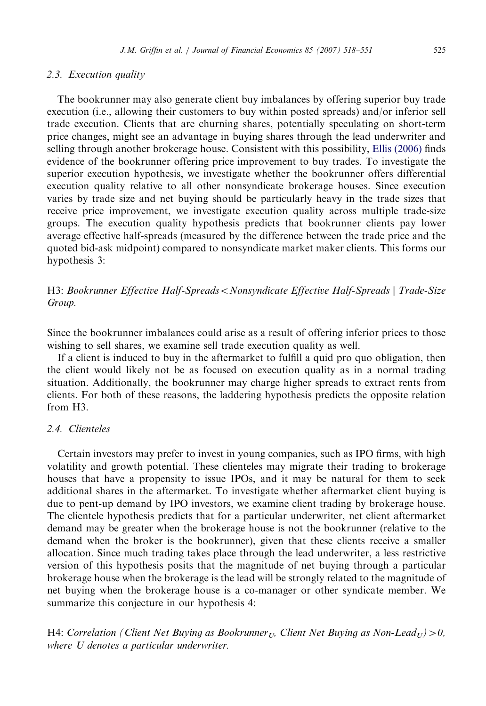#### 2.3. Execution quality

The bookrunner may also generate client buy imbalances by offering superior buy trade execution (i.e., allowing their customers to buy within posted spreads) and/or inferior sell trade execution. Clients that are churning shares, potentially speculating on short-term price changes, might see an advantage in buying shares through the lead underwriter and selling through another brokerage house. Consistent with this possibility, [Ellis \(2006\)](#page-32-0) finds evidence of the bookrunner offering price improvement to buy trades. To investigate the superior execution hypothesis, we investigate whether the bookrunner offers differential execution quality relative to all other nonsyndicate brokerage houses. Since execution varies by trade size and net buying should be particularly heavy in the trade sizes that receive price improvement, we investigate execution quality across multiple trade-size groups. The execution quality hypothesis predicts that bookrunner clients pay lower average effective half-spreads (measured by the difference between the trade price and the quoted bid-ask midpoint) compared to nonsyndicate market maker clients. This forms our hypothesis 3:

# H3: Bookrunner Effective Half-Spreads < Nonsyndicate Effective Half-Spreads | Trade-Size Group.

Since the bookrunner imbalances could arise as a result of offering inferior prices to those wishing to sell shares, we examine sell trade execution quality as well.

If a client is induced to buy in the aftermarket to fulfill a quid pro quo obligation, then the client would likely not be as focused on execution quality as in a normal trading situation. Additionally, the bookrunner may charge higher spreads to extract rents from clients. For both of these reasons, the laddering hypothesis predicts the opposite relation from H3.

## 2.4. Clienteles

Certain investors may prefer to invest in young companies, such as IPO firms, with high volatility and growth potential. These clienteles may migrate their trading to brokerage houses that have a propensity to issue IPOs, and it may be natural for them to seek additional shares in the aftermarket. To investigate whether aftermarket client buying is due to pent-up demand by IPO investors, we examine client trading by brokerage house. The clientele hypothesis predicts that for a particular underwriter, net client aftermarket demand may be greater when the brokerage house is not the bookrunner (relative to the demand when the broker is the bookrunner), given that these clients receive a smaller allocation. Since much trading takes place through the lead underwriter, a less restrictive version of this hypothesis posits that the magnitude of net buying through a particular brokerage house when the brokerage is the lead will be strongly related to the magnitude of net buying when the brokerage house is a co-manager or other syndicate member. We summarize this conjecture in our hypothesis 4:

H4: Correlation (Client Net Buying as Bookrunner<sub>U</sub>, Client Net Buying as Non-Lead<sub>U</sub>) > 0, where U denotes a particular underwriter.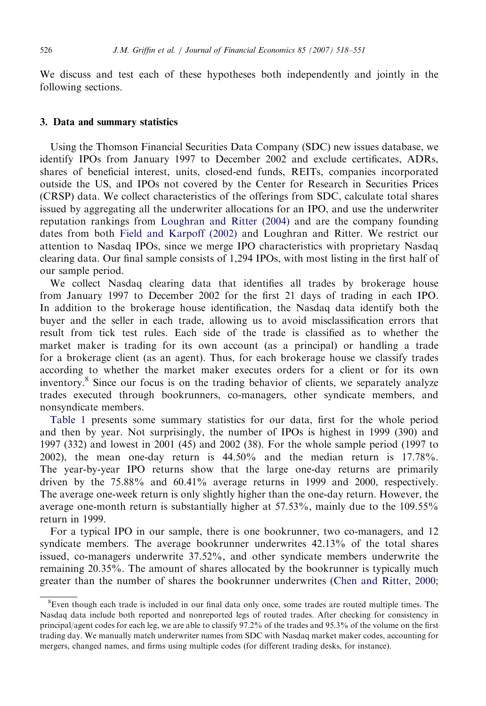We discuss and test each of these hypotheses both independently and jointly in the following sections.

#### 3. Data and summary statistics

Using the Thomson Financial Securities Data Company (SDC) new issues database, we identify IPOs from January 1997 to December 2002 and exclude certificates, ADRs, shares of beneficial interest, units, closed-end funds, REITs, companies incorporated outside the US, and IPOs not covered by the Center for Research in Securities Prices (CRSP) data. We collect characteristics of the offerings from SDC, calculate total shares issued by aggregating all the underwriter allocations for an IPO, and use the underwriter reputation rankings from [Loughran and Ritter \(2004\)](#page-33-0) and are the company founding dates from both [Field and Karpoff \(2002\)](#page-32-0) and Loughran and Ritter. We restrict our attention to Nasdaq IPOs, since we merge IPO characteristics with proprietary Nasdaq clearing data. Our final sample consists of 1,294 IPOs, with most listing in the first half of our sample period.

We collect Nasdaq clearing data that identifies all trades by brokerage house from January 1997 to December 2002 for the first 21 days of trading in each IPO. In addition to the brokerage house identification, the Nasdaq data identify both the buyer and the seller in each trade, allowing us to avoid misclassification errors that result from tick test rules. Each side of the trade is classified as to whether the market maker is trading for its own account (as a principal) or handling a trade for a brokerage client (as an agent). Thus, for each brokerage house we classify trades according to whether the market maker executes orders for a client or for its own inventory.<sup>8</sup> Since our focus is on the trading behavior of clients, we separately analyze trades executed through bookrunners, co-managers, other syndicate members, and nonsyndicate members.

[Table 1](#page-9-0) presents some summary statistics for our data, first for the whole period and then by year. Not surprisingly, the number of IPOs is highest in 1999 (390) and 1997 (332) and lowest in 2001 (45) and 2002 (38). For the whole sample period (1997 to 2002), the mean one-day return is 44.50% and the median return is 17.78%. The year-by-year IPO returns show that the large one-day returns are primarily driven by the  $75.88\%$  and  $60.41\%$  average returns in 1999 and 2000, respectively. The average one-week return is only slightly higher than the one-day return. However, the average one-month return is substantially higher at 57.53%, mainly due to the 109.55% return in 1999.

For a typical IPO in our sample, there is one bookrunner, two co-managers, and 12 syndicate members. The average bookrunner underwrites 42.13% of the total shares issued, co-managers underwrite 37.52%, and other syndicate members underwrite the remaining 20.35%. The amount of shares allocated by the bookrunner is typically much greater than the number of shares the bookrunner underwrites [\(Chen and Ritter, 2000;](#page-32-0)

<sup>8</sup> Even though each trade is included in our final data only once, some trades are routed multiple times. The Nasdaq data include both reported and nonreported legs of routed trades. After checking for consistency in principal/agent codes for each leg, we are able to classify 97.2% of the trades and 95.3% of the volume on the first trading day. We manually match underwriter names from SDC with Nasdaq market maker codes, accounting for mergers, changed names, and firms using multiple codes (for different trading desks, for instance).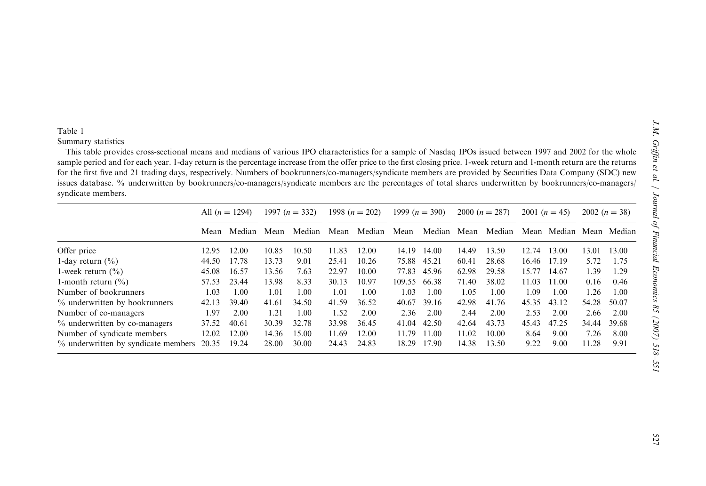## <span id="page-9-0"></span>Summary statistics

This table provides cross-sectional means and medians of various IPO characteristics for <sup>a</sup> sample of Nasdaq IPOs issued between 1997 and 2002 for the whole sample period and for each year. 1-day return is the percentage increase from the offer price to the first closing price. 1-week return and 1-month return are the returns for the first five and 21 trading days, respectively. Numbers of bookrunners/co-managers/syndicate members are provided by Securities Data Company (SDC) new issues database. % underwritten by bookrunners/co-managers/syndicate members are the percentages of total shares underwritten by bookrunners/co-managers/ syndicate members.

|                                     |       | All $(n = 1294)$ |       | 1997 $(n = 332)$ |       | 1998 $(n = 202)$ |        | 1999 $(n = 390)$ |       | 2000 $(n = 287)$ |       | 2001 $(n = 45)$         |       | 2002 $(n = 38)$ |  |
|-------------------------------------|-------|------------------|-------|------------------|-------|------------------|--------|------------------|-------|------------------|-------|-------------------------|-------|-----------------|--|
|                                     | Mean  | Median           | Mean  | Median           | Mean  | Median           | Mean   | Median           | Mean  | Median           |       | Mean Median Mean Median |       |                 |  |
| Offer price                         | 12.95 | 12.00            | 10.85 | 10.50            | 11.83 | 12.00            | 14.19  | 14.00            | 14.49 | 13.50            | 12.74 | 13.00                   | 13.01 | 13.00           |  |
| 1-day return $(\% )$                | 44.50 | 17.78            | 13.73 | 9.01             | 25.41 | 10.26            | 75.88  | 45.21            | 60.41 | 28.68            | 16.46 | 17.19                   | 5.72  | 1.75            |  |
| 1-week return $(\% )$               | 45.08 | 16.57            | 13.56 | 7.63             | 22.97 | 10.00            | 77.83  | 45.96            | 62.98 | 29.58            | 15.77 | 14.67                   | 1.39  | 1.29            |  |
| 1-month return $(\% )$              | 57.53 | 23.44            | 13.98 | 8.33             | 30.13 | 10.97            | 109.55 | 66.38            | 71.40 | 38.02            | 11.03 | 11.00                   | 0.16  | 0.46            |  |
| Number of bookrunners               | 1.03  | 1.00             | 1.01  | 00.1             | 1.01  | 1.00             | 1.03   | 1.00             | 1.05  | 1.00             | 1.09  | 1.00                    | 1.26  | 1.00            |  |
| % underwritten by bookrunners       | 42.13 | 39.40            | 41.61 | 34.50            | 41.59 | 36.52            | 40.67  | 39.16            | 42.98 | 41.76            | 45.35 | 43.12                   | 54.28 | 50.07           |  |
| Number of co-managers               | .97   | 2.00             | 1.21  | 00.1             | 1.52  | 2.00             | 2.36   | 2.00             | 2.44  | 2.00             | 2.53  | 2.00                    | 2.66  | 2.00            |  |
| % underwritten by co-managers       | 37.52 | 40.61            | 30.39 | 32.78            | 33.98 | 36.45            | 41.04  | 42.50            | 42.64 | 43.73            | 45.43 | 47.25                   | 34.44 | 39.68           |  |
| Number of syndicate members         | 12.02 | 12.00            | 14.36 | 15.00            | 11.69 | 12.00            | 11.79  | 11.00            | 11.02 | 10.00            | 8.64  | 9.00                    | 7.26  | 8.00            |  |
| % underwritten by syndicate members | 20.35 | 19.24            | 28.00 | 30.00            | 24.43 | 24.83            | 18.29  | 17.90            | 14.38 | 13.50            | 9.22  | 9.00                    | 11.28 | 9.91            |  |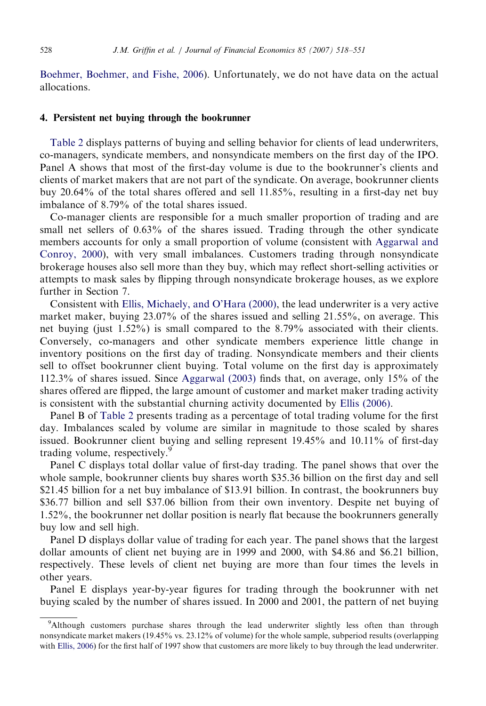[Boehmer, Boehmer, and Fishe, 2006](#page-32-0)). Unfortunately, we do not have data on the actual allocations.

## 4. Persistent net buying through the bookrunner

[Table 2](#page-11-0) displays patterns of buying and selling behavior for clients of lead underwriters, co-managers, syndicate members, and nonsyndicate members on the first day of the IPO. Panel A shows that most of the first-day volume is due to the bookrunner's clients and clients of market makers that are not part of the syndicate. On average, bookrunner clients buy 20.64% of the total shares offered and sell 11.85%, resulting in a first-day net buy imbalance of 8.79% of the total shares issued.

Co-manager clients are responsible for a much smaller proportion of trading and are small net sellers of 0.63% of the shares issued. Trading through the other syndicate members accounts for only a small proportion of volume (consistent with [Aggarwal and](#page-32-0) [Conroy, 2000\)](#page-32-0), with very small imbalances. Customers trading through nonsyndicate brokerage houses also sell more than they buy, which may reflect short-selling activities or attempts to mask sales by flipping through nonsyndicate brokerage houses, as we explore further in Section 7.

Consistent with [Ellis, Michaely, and O'Hara \(2000\)](#page-32-0), the lead underwriter is a very active market maker, buying 23.07% of the shares issued and selling 21.55%, on average. This net buying (just 1.52%) is small compared to the 8.79% associated with their clients. Conversely, co-managers and other syndicate members experience little change in inventory positions on the first day of trading. Nonsyndicate members and their clients sell to offset bookrunner client buying. Total volume on the first day is approximately 112.3% of shares issued. Since [Aggarwal \(2003\)](#page-32-0) finds that, on average, only 15% of the shares offered are flipped, the large amount of customer and market maker trading activity is consistent with the substantial churning activity documented by [Ellis \(2006\).](#page-32-0)

Panel B of [Table 2](#page-11-0) presents trading as a percentage of total trading volume for the first day. Imbalances scaled by volume are similar in magnitude to those scaled by shares issued. Bookrunner client buying and selling represent 19.45% and 10.11% of first-day trading volume, respectively.<sup>9</sup>

Panel C displays total dollar value of first-day trading. The panel shows that over the whole sample, bookrunner clients buy shares worth \$35.36 billion on the first day and sell \$21.45 billion for a net buy imbalance of \$13.91 billion. In contrast, the bookrunners buy \$36.77 billion and sell \$37.06 billion from their own inventory. Despite net buying of 1.52%, the bookrunner net dollar position is nearly flat because the bookrunners generally buy low and sell high.

Panel D displays dollar value of trading for each year. The panel shows that the largest dollar amounts of client net buying are in 1999 and 2000, with \$4.86 and \$6.21 billion, respectively. These levels of client net buying are more than four times the levels in other years.

Panel E displays year-by-year figures for trading through the bookrunner with net buying scaled by the number of shares issued. In 2000 and 2001, the pattern of net buying

<sup>&</sup>lt;sup>9</sup>Although customers purchase shares through the lead underwriter slightly less often than through nonsyndicate market makers (19.45% vs. 23.12% of volume) for the whole sample, subperiod results (overlapping with [Ellis, 2006\)](#page-32-0) for the first half of 1997 show that customers are more likely to buy through the lead underwriter.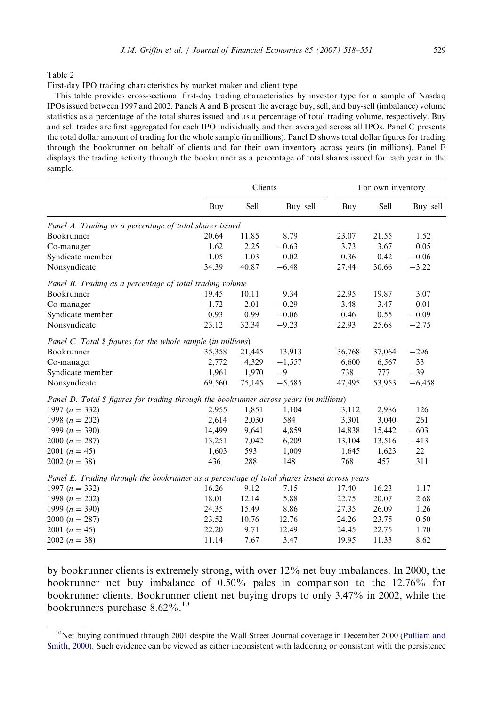<span id="page-11-0"></span>First-day IPO trading characteristics by market maker and client type

This table provides cross-sectional first-day trading characteristics by investor type for a sample of Nasdaq IPOs issued between 1997 and 2002. Panels A and B present the average buy, sell, and buy-sell (imbalance) volume statistics as a percentage of the total shares issued and as a percentage of total trading volume, respectively. Buy and sell trades are first aggregated for each IPO individually and then averaged across all IPOs. Panel C presents the total dollar amount of trading for the whole sample (in millions). Panel D shows total dollar figures for trading through the bookrunner on behalf of clients and for their own inventory across years (in millions). Panel E displays the trading activity through the bookrunner as a percentage of total shares issued for each year in the sample.

|                                                                                             |        | Clients |          |        | For own inventory |          |  |  |
|---------------------------------------------------------------------------------------------|--------|---------|----------|--------|-------------------|----------|--|--|
|                                                                                             | Buy    | Sell    | Buy-sell | Buy    | Sell              | Buy-sell |  |  |
| Panel A. Trading as a percentage of total shares issued                                     |        |         |          |        |                   |          |  |  |
| Bookrunner                                                                                  | 20.64  | 11.85   | 8.79     | 23.07  | 21.55             | 1.52     |  |  |
| Co-manager                                                                                  | 1.62   | 2.25    | $-0.63$  | 3.73   | 3.67              | 0.05     |  |  |
| Syndicate member                                                                            | 1.05   | 1.03    | 0.02     | 0.36   | 0.42              | $-0.06$  |  |  |
| Nonsyndicate                                                                                | 34.39  | 40.87   | $-6.48$  | 27.44  | 30.66             | $-3.22$  |  |  |
| Panel B. Trading as a percentage of total trading volume                                    |        |         |          |        |                   |          |  |  |
| Bookrunner                                                                                  | 19.45  | 10.11   | 9.34     | 22.95  | 19.87             | 3.07     |  |  |
| Co-manager                                                                                  | 1.72   | 2.01    | $-0.29$  | 3.48   | 3.47              | 0.01     |  |  |
| Syndicate member                                                                            | 0.93   | 0.99    | $-0.06$  | 0.46   | 0.55              | $-0.09$  |  |  |
| Nonsyndicate                                                                                | 23.12  | 32.34   | $-9.23$  | 22.93  | 25.68             | $-2.75$  |  |  |
| Panel C. Total \$ figures for the whole sample (in millions)                                |        |         |          |        |                   |          |  |  |
| Bookrunner                                                                                  | 35,358 | 21,445  | 13,913   | 36,768 | 37,064            | $-296$   |  |  |
| Co-manager                                                                                  | 2,772  | 4,329   | $-1,557$ | 6,600  | 6,567             | 33       |  |  |
| Syndicate member                                                                            | 1,961  | 1,970   | $-9$     | 738    | 777               | $-39$    |  |  |
| Nonsyndicate                                                                                | 69,560 | 75,145  | $-5,585$ | 47,495 | 53,953            | $-6,458$ |  |  |
| Panel D. Total \$ figures for trading through the bookrunner across years (in millions)     |        |         |          |        |                   |          |  |  |
| 1997 $(n = 332)$                                                                            | 2,955  | 1,851   | 1,104    | 3,112  | 2,986             | 126      |  |  |
| 1998 $(n = 202)$                                                                            | 2,614  | 2,030   | 584      | 3,301  | 3,040             | 261      |  |  |
| 1999 $(n = 390)$                                                                            | 14,499 | 9,641   | 4,859    | 14,838 | 15,442            | $-603$   |  |  |
| 2000 $(n = 287)$                                                                            | 13,251 | 7,042   | 6,209    | 13,104 | 13,516            | $-413$   |  |  |
| 2001 $(n = 45)$                                                                             | 1,603  | 593     | 1,009    | 1,645  | 1,623             | 22       |  |  |
| 2002 $(n = 38)$                                                                             | 436    | 288     | 148      | 768    | 457               | 311      |  |  |
| Panel E. Trading through the bookrunner as a percentage of total shares issued across years |        |         |          |        |                   |          |  |  |
| 1997 $(n = 332)$                                                                            | 16.26  | 9.12    | 7.15     | 17.40  | 16.23             | 1.17     |  |  |
| 1998 $(n = 202)$                                                                            | 18.01  | 12.14   | 5.88     | 22.75  | 20.07             | 2.68     |  |  |
| 1999 $(n = 390)$                                                                            | 24.35  | 15.49   | 8.86     | 27.35  | 26.09             | 1.26     |  |  |
| 2000 $(n = 287)$                                                                            | 23.52  | 10.76   | 12.76    | 24.26  | 23.75             | 0.50     |  |  |
| 2001 $(n = 45)$                                                                             | 22.20  | 9.71    | 12.49    | 24.45  | 22.75             | 1.70     |  |  |
| 2002 $(n = 38)$                                                                             | 11.14  | 7.67    | 3.47     | 19.95  | 11.33             | 8.62     |  |  |

by bookrunner clients is extremely strong, with over 12% net buy imbalances. In 2000, the bookrunner net buy imbalance of 0.50% pales in comparison to the 12.76% for bookrunner clients. Bookrunner client net buying drops to only 3.47% in 2002, while the bookrunners purchase 8.62%.<sup>10</sup>

<sup>&</sup>lt;sup>10</sup>Net buying continued through 2001 despite the Wall Street Journal coverage in December 2000 [\(Pulliam and](#page-33-0) [Smith, 2000\)](#page-33-0). Such evidence can be viewed as either inconsistent with laddering or consistent with the persistence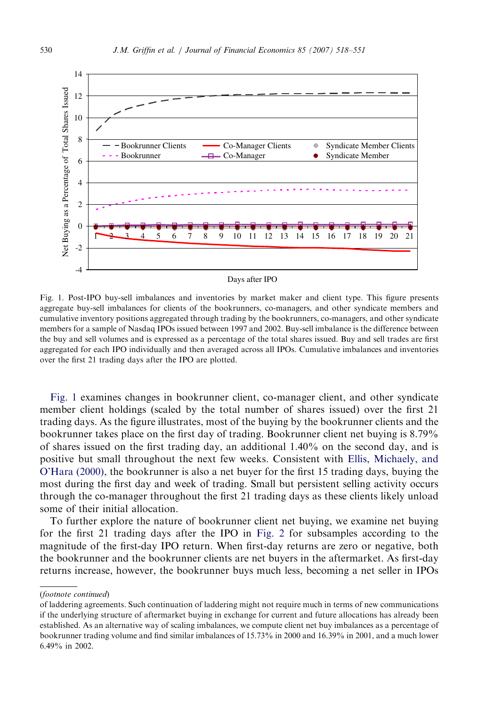

Fig. 1. Post-IPO buy-sell imbalances and inventories by market maker and client type. This figure presents aggregate buy-sell imbalances for clients of the bookrunners, co-managers, and other syndicate members and cumulative inventory positions aggregated through trading by the bookrunners, co-managers, and other syndicate members for a sample of Nasdaq IPOs issued between 1997 and 2002. Buy-sell imbalance is the difference between the buy and sell volumes and is expressed as a percentage of the total shares issued. Buy and sell trades are first aggregated for each IPO individually and then averaged across all IPOs. Cumulative imbalances and inventories over the first 21 trading days after the IPO are plotted.

Fig. 1 examines changes in bookrunner client, co-manager client, and other syndicate member client holdings (scaled by the total number of shares issued) over the first 21 trading days. As the figure illustrates, most of the buying by the bookrunner clients and the bookrunner takes place on the first day of trading. Bookrunner client net buying is 8.79% of shares issued on the first trading day, an additional 1.40% on the second day, and is positive but small throughout the next few weeks. Consistent with [Ellis, Michaely, and](#page-32-0) [O'Hara \(2000\)](#page-32-0), the bookrunner is also a net buyer for the first 15 trading days, buying the most during the first day and week of trading. Small but persistent selling activity occurs through the co-manager throughout the first 21 trading days as these clients likely unload some of their initial allocation.

To further explore the nature of bookrunner client net buying, we examine net buying for the first 21 trading days after the IPO in [Fig. 2](#page-13-0) for subsamples according to the magnitude of the first-day IPO return. When first-day returns are zero or negative, both the bookrunner and the bookrunner clients are net buyers in the aftermarket. As first-day returns increase, however, the bookrunner buys much less, becoming a net seller in IPOs

<sup>(</sup>footnote continued)

of laddering agreements. Such continuation of laddering might not require much in terms of new communications if the underlying structure of aftermarket buying in exchange for current and future allocations has already been established. As an alternative way of scaling imbalances, we compute client net buy imbalances as a percentage of bookrunner trading volume and find similar imbalances of 15.73% in 2000 and 16.39% in 2001, and a much lower 6.49% in 2002.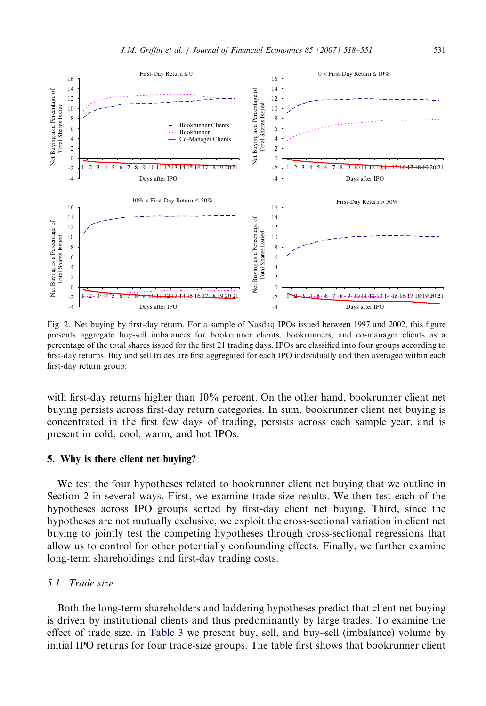<span id="page-13-0"></span>

Fig. 2. Net buying by first-day return. For a sample of Nasdaq IPOs issued between 1997 and 2002, this figure presents aggregate buy-sell imbalances for bookrunner clients, bookrunners, and co-manager clients as a percentage of the total shares issued for the first 21 trading days. IPOs are classified into four groups according to first-day returns. Buy and sell trades are first aggregated for each IPO individually and then averaged within each first-day return group.

with first-day returns higher than 10% percent. On the other hand, bookrunner client net buying persists across first-day return categories. In sum, bookrunner client net buying is concentrated in the first few days of trading, persists across each sample year, and is present in cold, cool, warm, and hot IPOs.

## 5. Why is there client net buying?

We test the four hypotheses related to bookrunner client net buying that we outline in Section 2 in several ways. First, we examine trade-size results. We then test each of the hypotheses across IPO groups sorted by first-day client net buying. Third, since the hypotheses are not mutually exclusive, we exploit the cross-sectional variation in client net buying to jointly test the competing hypotheses through cross-sectional regressions that allow us to control for other potentially confounding effects. Finally, we further examine long-term shareholdings and first-day trading costs.

## 5.1. Trade size

Both the long-term shareholders and laddering hypotheses predict that client net buying is driven by institutional clients and thus predominantly by large trades. To examine the effect of trade size, in [Table 3](#page-14-0) we present buy, sell, and buy–sell (imbalance) volume by initial IPO returns for four trade-size groups. The table first shows that bookrunner client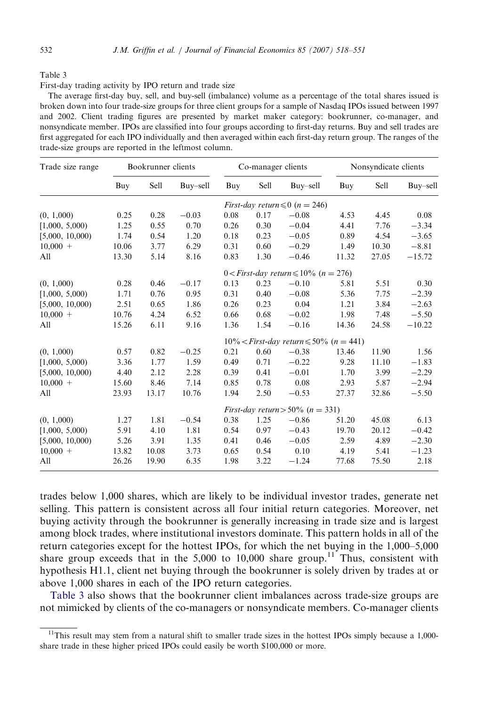#### <span id="page-14-0"></span>First-day trading activity by IPO return and trade size

The average first-day buy, sell, and buy-sell (imbalance) volume as a percentage of the total shares issued is broken down into four trade-size groups for three client groups for a sample of Nasdaq IPOs issued between 1997 and 2002. Client trading figures are presented by market maker category: bookrunner, co-manager, and nonsyndicate member. IPOs are classified into four groups according to first-day returns. Buy and sell trades are first aggregated for each IPO individually and then averaged within each first-day return group. The ranges of the trade-size groups are reported in the leftmost column.

| Trade size range | Bookrunner clients |       |          | Co-manager clients |      | Nonsyndicate clients                               |       |       |          |
|------------------|--------------------|-------|----------|--------------------|------|----------------------------------------------------|-------|-------|----------|
|                  | Buy                | Sell  | Buy-sell | Buy                | Sell | Buy-sell                                           | Buy   | Sell  | Buy-sell |
|                  |                    |       |          |                    |      | <i>First-day return</i> $\leq 0$ ( <i>n</i> = 246) |       |       |          |
| (0, 1,000)       | 0.25               | 0.28  | $-0.03$  | 0.08               | 0.17 | $-0.08$                                            | 4.53  | 4.45  | 0.08     |
| [1,000, 5,000)   | 1.25               | 0.55  | 0.70     | 0.26               | 0.30 | $-0.04$                                            | 4.41  | 7.76  | $-3.34$  |
| [5,000, 10,000]  | 1.74               | 0.54  | 1.20     | 0.18               | 0.23 | $-0.05$                                            | 0.89  | 4.54  | $-3.65$  |
| $10,000 +$       | 10.06              | 3.77  | 6.29     | 0.31               | 0.60 | $-0.29$                                            | 1.49  | 10.30 | $-8.81$  |
| All              | 13.30              | 5.14  | 8.16     | 0.83               | 1.30 | $-0.46$                                            | 11.32 | 27.05 | $-15.72$ |
|                  |                    |       |          |                    |      | $0 <$ First-day return $\leq 10\%$ (n = 276)       |       |       |          |
| (0, 1,000)       | 0.28               | 0.46  | $-0.17$  | 0.13               | 0.23 | $-0.10$                                            | 5.81  | 5.51  | 0.30     |
| [1,000, 5,000)   | 1.71               | 0.76  | 0.95     | 0.31               | 0.40 | $-0.08$                                            | 5.36  | 7.75  | $-2.39$  |
| [5,000, 10,000]  | 2.51               | 0.65  | 1.86     | 0.26               | 0.23 | 0.04                                               | 1.21  | 3.84  | $-2.63$  |
| $10,000 +$       | 10.76              | 4.24  | 6.52     | 0.66               | 0.68 | $-0.02$                                            | 1.98  | 7.48  | $-5.50$  |
| All              | 15.26              | 6.11  | 9.16     | 1.36               | 1.54 | $-0.16$                                            | 14.36 | 24.58 | $-10.22$ |
|                  |                    |       |          |                    |      | $10\% <$ First-day return $\le 50\%$ (n = 441)     |       |       |          |
| (0, 1,000)       | 0.57               | 0.82  | $-0.25$  | 0.21               | 0.60 | $-0.38$                                            | 13.46 | 11.90 | 1.56     |
| [1,000, 5,000)   | 3.36               | 1.77  | 1.59     | 0.49               | 0.71 | $-0.22$                                            | 9.28  | 11.10 | $-1.83$  |
| [5,000, 10,000]  | 4.40               | 2.12  | 2.28     | 0.39               | 0.41 | $-0.01$                                            | 1.70  | 3.99  | $-2.29$  |
| $10,000 +$       | 15.60              | 8.46  | 7.14     | 0.85               | 0.78 | 0.08                                               | 2.93  | 5.87  | $-2.94$  |
| All              | 23.93              | 13.17 | 10.76    | 1.94               | 2.50 | $-0.53$                                            | 27.37 | 32.86 | $-5.50$  |
|                  |                    |       |          |                    |      | First-day return > $50\%$ (n = 331)                |       |       |          |
| (0, 1,000)       | 1.27               | 1.81  | $-0.54$  | 0.38               | 1.25 | $-0.86$                                            | 51.20 | 45.08 | 6.13     |
| [1,000, 5,000)   | 5.91               | 4.10  | 1.81     | 0.54               | 0.97 | $-0.43$                                            | 19.70 | 20.12 | $-0.42$  |
| [5,000, 10,000]  | 5.26               | 3.91  | 1.35     | 0.41               | 0.46 | $-0.05$                                            | 2.59  | 4.89  | $-2.30$  |
| $10,000 +$       | 13.82              | 10.08 | 3.73     | 0.65               | 0.54 | 0.10                                               | 4.19  | 5.41  | $-1.23$  |
| All              | 26.26              | 19.90 | 6.35     | 1.98               | 3.22 | $-1.24$                                            | 77.68 | 75.50 | 2.18     |

trades below 1,000 shares, which are likely to be individual investor trades, generate net selling. This pattern is consistent across all four initial return categories. Moreover, net buying activity through the bookrunner is generally increasing in trade size and is largest among block trades, where institutional investors dominate. This pattern holds in all of the return categories except for the hottest IPOs, for which the net buying in the 1,000–5,000 share group exceeds that in the  $5,000$  to  $10,000$  share group.<sup>11</sup> Thus, consistent with hypothesis H1.1, client net buying through the bookrunner is solely driven by trades at or above 1,000 shares in each of the IPO return categories.

Table 3 also shows that the bookrunner client imbalances across trade-size groups are not mimicked by clients of the co-managers or nonsyndicate members. Co-manager clients

<sup>&</sup>lt;sup>11</sup>This result may stem from a natural shift to smaller trade sizes in the hottest IPOs simply because a 1,000share trade in these higher priced IPOs could easily be worth \$100,000 or more.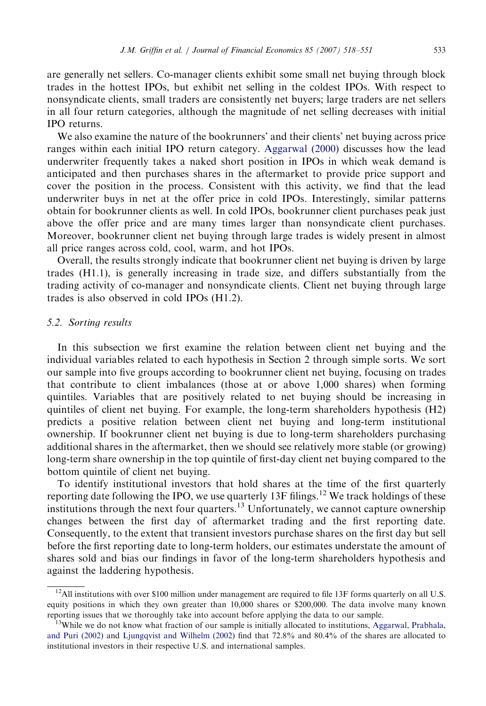are generally net sellers. Co-manager clients exhibit some small net buying through block trades in the hottest IPOs, but exhibit net selling in the coldest IPOs. With respect to nonsyndicate clients, small traders are consistently net buyers; large traders are net sellers in all four return categories, although the magnitude of net selling decreases with initial IPO returns.

We also examine the nature of the bookrunners' and their clients' net buying across price ranges within each initial IPO return category. [Aggarwal \(2000\)](#page-32-0) discusses how the lead underwriter frequently takes a naked short position in IPOs in which weak demand is anticipated and then purchases shares in the aftermarket to provide price support and cover the position in the process. Consistent with this activity, we find that the lead underwriter buys in net at the offer price in cold IPOs. Interestingly, similar patterns obtain for bookrunner clients as well. In cold IPOs, bookrunner client purchases peak just above the offer price and are many times larger than nonsyndicate client purchases. Moreover, bookrunner client net buying through large trades is widely present in almost all price ranges across cold, cool, warm, and hot IPOs.

Overall, the results strongly indicate that bookrunner client net buying is driven by large trades (H1.1), is generally increasing in trade size, and differs substantially from the trading activity of co-manager and nonsyndicate clients. Client net buying through large trades is also observed in cold IPOs (H1.2).

#### 5.2. Sorting results

In this subsection we first examine the relation between client net buying and the individual variables related to each hypothesis in Section 2 through simple sorts. We sort our sample into five groups according to bookrunner client net buying, focusing on trades that contribute to client imbalances (those at or above 1,000 shares) when forming quintiles. Variables that are positively related to net buying should be increasing in quintiles of client net buying. For example, the long-term shareholders hypothesis (H2) predicts a positive relation between client net buying and long-term institutional ownership. If bookrunner client net buying is due to long-term shareholders purchasing additional shares in the aftermarket, then we should see relatively more stable (or growing) long-term share ownership in the top quintile of first-day client net buying compared to the bottom quintile of client net buying.

To identify institutional investors that hold shares at the time of the first quarterly reporting date following the IPO, we use quarterly 13F filings.<sup>12</sup> We track holdings of these institutions through the next four quarters.<sup>13</sup> Unfortunately, we cannot capture ownership changes between the first day of aftermarket trading and the first reporting date. Consequently, to the extent that transient investors purchase shares on the first day but sell before the first reporting date to long-term holders, our estimates understate the amount of shares sold and bias our findings in favor of the long-term shareholders hypothesis and against the laddering hypothesis.

 $12$ All institutions with over \$100 million under management are required to file 13F forms quarterly on all U.S. equity positions in which they own greater than 10,000 shares or \$200,000. The data involve many known reporting issues that we thoroughly take into account before applying the data to our sample. 13While we do not know what fraction of our sample is initially allocated to institutions, [Aggarwal, Prabhala,](#page-32-0)

[and Puri \(2002\)](#page-32-0) and [Ljungqvist and Wilhelm \(2002\)](#page-33-0) find that 72.8% and 80.4% of the shares are allocated to institutional investors in their respective U.S. and international samples.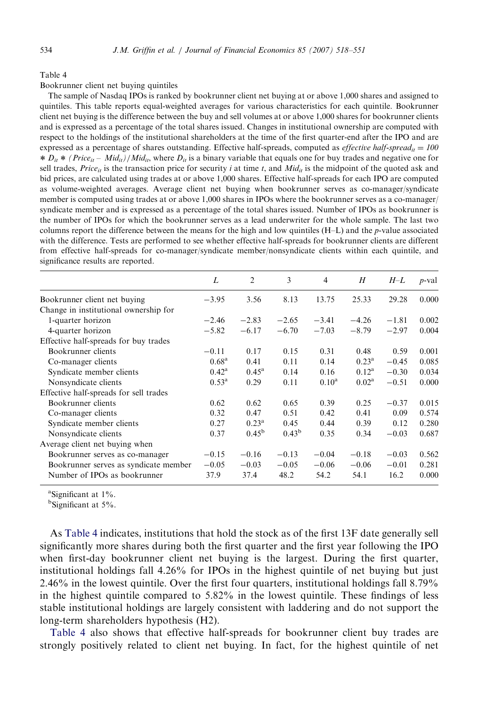<span id="page-16-0"></span>Bookrunner client net buying quintiles

The sample of Nasdaq IPOs is ranked by bookrunner client net buying at or above 1,000 shares and assigned to quintiles. This table reports equal-weighted averages for various characteristics for each quintile. Bookrunner client net buying is the difference between the buy and sell volumes at or above 1,000 shares for bookrunner clients and is expressed as a percentage of the total shares issued. Changes in institutional ownership are computed with respect to the holdings of the institutional shareholders at the time of the first quarter-end after the IPO and are expressed as a percentage of shares outstanding. Effective half-spreads, computed as *effective half-spread<sub>it</sub>* = 100  $D_{ii}$  \* (Price<sub>it</sub> – Mid<sub>it</sub>)/Mid<sub>it</sub>, where  $D_{ii}$  is a binary variable that equals one for buy trades and negative one for sell trades, Price<sub>it</sub> is the transaction price for security i at time t, and Mid<sub>it</sub> is the midpoint of the quoted ask and bid prices, are calculated using trades at or above 1,000 shares. Effective half-spreads for each IPO are computed as volume-weighted averages. Average client net buying when bookrunner serves as co-manager/syndicate member is computed using trades at or above 1,000 shares in IPOs where the bookrunner serves as a co-manager/ syndicate member and is expressed as a percentage of the total shares issued. Number of IPOs as bookrunner is the number of IPOs for which the bookrunner serves as a lead underwriter for the whole sample. The last two columns report the difference between the means for the high and low quintiles (H–L) and the p-value associated with the difference. Tests are performed to see whether effective half-spreads for bookrunner clients are different from effective half-spreads for co-manager/syndicate member/nonsyndicate clients within each quintile, and significance results are reported.

|                                        | L              | 2              | 3              | $\overline{4}$ | H              | H–L     | <i>p</i> -val |
|----------------------------------------|----------------|----------------|----------------|----------------|----------------|---------|---------------|
| Bookrunner client net buying           | $-3.95$        | 3.56           | 8.13           | 13.75          | 25.33          | 29.28   | 0.000         |
| Change in institutional ownership for  |                |                |                |                |                |         |               |
| 1-quarter horizon                      | $-2.46$        | $-2.83$        | $-2.65$        | $-3.41$        | $-4.26$        | $-1.81$ | 0.002         |
| 4-quarter horizon                      | $-5.82$        | $-6.17$        | $-6.70$        | $-7.03$        | $-8.79$        | $-2.97$ | 0.004         |
| Effective half-spreads for buy trades  |                |                |                |                |                |         |               |
| Bookrunner clients                     | $-0.11$        | 0.17           | 0.15           | 0.31           | 0.48           | 0.59    | 0.001         |
| Co-manager clients                     | $0.68^{\rm a}$ | 0.41           | 0.11           | 0.14           | $0.23^{\rm a}$ | $-0.45$ | 0.085         |
| Syndicate member clients               | $0.42^{\rm a}$ | $0.45^{\rm a}$ | 0.14           | 0.16           | $0.12^{\rm a}$ | $-0.30$ | 0.034         |
| Nonsyndicate clients                   | $0.53^{\rm a}$ | 0.29           | 0.11           | $0.10^{\rm a}$ | $0.02^{\rm a}$ | $-0.51$ | 0.000         |
| Effective half-spreads for sell trades |                |                |                |                |                |         |               |
| Bookrunner clients                     | 0.62           | 0.62           | 0.65           | 0.39           | 0.25           | $-0.37$ | 0.015         |
| Co-manager clients                     | 0.32           | 0.47           | 0.51           | 0.42           | 0.41           | 0.09    | 0.574         |
| Syndicate member clients               | 0.27           | $0.23^{\rm a}$ | 0.45           | 0.44           | 0.39           | 0.12    | 0.280         |
| Nonsyndicate clients                   | 0.37           | $0.45^{\rm b}$ | $0.43^{\rm b}$ | 0.35           | 0.34           | $-0.03$ | 0.687         |
| Average client net buying when         |                |                |                |                |                |         |               |
| Bookrunner serves as co-manager        | $-0.15$        | $-0.16$        | $-0.13$        | $-0.04$        | $-0.18$        | $-0.03$ | 0.562         |
| Bookrunner serves as syndicate member  | $-0.05$        | $-0.03$        | $-0.05$        | $-0.06$        | $-0.06$        | $-0.01$ | 0.281         |
| Number of IPOs as bookrunner           | 37.9           | 37.4           | 48.2           | 54.2           | 54.1           | 16.2    | 0.000         |

<sup>a</sup>Significant at 1%.

<sup>b</sup>Significant at 5%.

As Table 4 indicates, institutions that hold the stock as of the first 13F date generally sell significantly more shares during both the first quarter and the first year following the IPO when first-day bookrunner client net buying is the largest. During the first quarter, institutional holdings fall 4.26% for IPOs in the highest quintile of net buying but just 2.46% in the lowest quintile. Over the first four quarters, institutional holdings fall 8.79% in the highest quintile compared to 5.82% in the lowest quintile. These findings of less stable institutional holdings are largely consistent with laddering and do not support the long-term shareholders hypothesis (H2).

Table 4 also shows that effective half-spreads for bookrunner client buy trades are strongly positively related to client net buying. In fact, for the highest quintile of net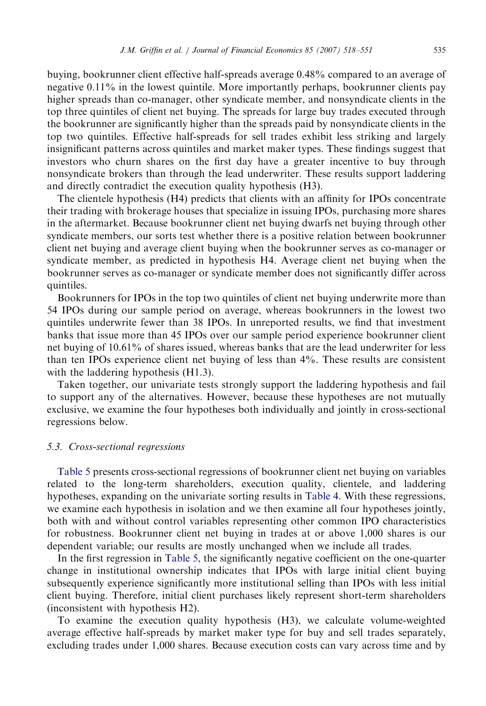buying, bookrunner client effective half-spreads average 0.48% compared to an average of negative 0.11% in the lowest quintile. More importantly perhaps, bookrunner clients pay higher spreads than co-manager, other syndicate member, and nonsyndicate clients in the top three quintiles of client net buying. The spreads for large buy trades executed through the bookrunner are significantly higher than the spreads paid by nonsyndicate clients in the top two quintiles. Effective half-spreads for sell trades exhibit less striking and largely insignificant patterns across quintiles and market maker types. These findings suggest that investors who churn shares on the first day have a greater incentive to buy through nonsyndicate brokers than through the lead underwriter. These results support laddering and directly contradict the execution quality hypothesis (H3).

The clientele hypothesis (H4) predicts that clients with an affinity for IPOs concentrate their trading with brokerage houses that specialize in issuing IPOs, purchasing more shares in the aftermarket. Because bookrunner client net buying dwarfs net buying through other syndicate members, our sorts test whether there is a positive relation between bookrunner client net buying and average client buying when the bookrunner serves as co-manager or syndicate member, as predicted in hypothesis H4. Average client net buying when the bookrunner serves as co-manager or syndicate member does not significantly differ across quintiles.

Bookrunners for IPOs in the top two quintiles of client net buying underwrite more than 54 IPOs during our sample period on average, whereas bookrunners in the lowest two quintiles underwrite fewer than 38 IPOs. In unreported results, we find that investment banks that issue more than 45 IPOs over our sample period experience bookrunner client net buying of 10.61% of shares issued, whereas banks that are the lead underwriter for less than ten IPOs experience client net buying of less than 4%. These results are consistent with the laddering hypothesis (H1.3).

Taken together, our univariate tests strongly support the laddering hypothesis and fail to support any of the alternatives. However, because these hypotheses are not mutually exclusive, we examine the four hypotheses both individually and jointly in cross-sectional regressions below.

## 5.3. Cross-sectional regressions

[Table 5](#page-18-0) presents cross-sectional regressions of bookrunner client net buying on variables related to the long-term shareholders, execution quality, clientele, and laddering hypotheses, expanding on the univariate sorting results in [Table 4.](#page-16-0) With these regressions, we examine each hypothesis in isolation and we then examine all four hypotheses jointly, both with and without control variables representing other common IPO characteristics for robustness. Bookrunner client net buying in trades at or above 1,000 shares is our dependent variable; our results are mostly unchanged when we include all trades.

In the first regression in [Table 5,](#page-18-0) the significantly negative coefficient on the one-quarter change in institutional ownership indicates that IPOs with large initial client buying subsequently experience significantly more institutional selling than IPOs with less initial client buying. Therefore, initial client purchases likely represent short-term shareholders (inconsistent with hypothesis H2).

To examine the execution quality hypothesis (H3), we calculate volume-weighted average effective half-spreads by market maker type for buy and sell trades separately, excluding trades under 1,000 shares. Because execution costs can vary across time and by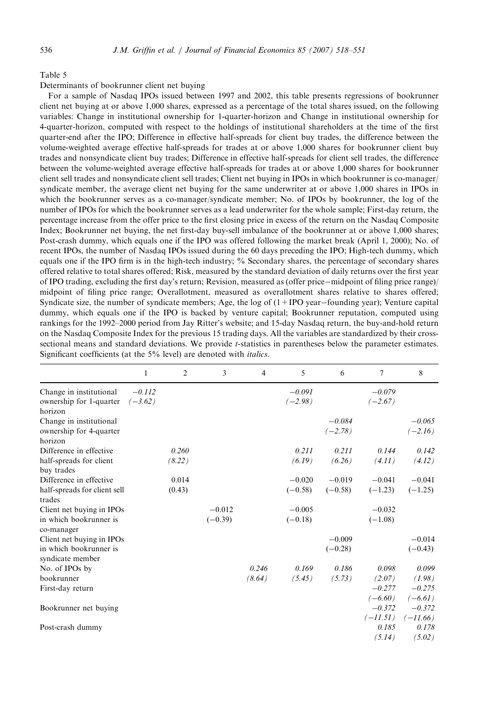#### <span id="page-18-0"></span>Determinants of bookrunner client net buying

For a sample of Nasdaq IPOs issued between 1997 and 2002, this table presents regressions of bookrunner client net buying at or above 1,000 shares, expressed as a percentage of the total shares issued, on the following variables: Change in institutional ownership for 1-quarter-horizon and Change in institutional ownership for 4-quarter-horizon, computed with respect to the holdings of institutional shareholders at the time of the first quarter-end after the IPO; Difference in effective half-spreads for client buy trades, the difference between the volume-weighted average effective half-spreads for trades at or above 1,000 shares for bookrunner client buy trades and nonsyndicate client buy trades; Difference in effective half-spreads for client sell trades, the difference between the volume-weighted average effective half-spreads for trades at or above 1,000 shares for bookrunner client sell trades and nonsyndicate client sell trades; Client net buying in IPOs in which bookrunner is co-manager/ syndicate member, the average client net buying for the same underwriter at or above 1,000 shares in IPOs in which the bookrunner serves as a co-manager/syndicate member; No. of IPOs by bookrunner, the log of the number of IPOs for which the bookrunner serves as a lead underwriter for the whole sample; First-day return, the percentage increase from the offer price to the first closing price in excess of the return on the Nasdaq Composite Index; Bookrunner net buying, the net first-day buy-sell imbalance of the bookrunner at or above 1,000 shares; Post-crash dummy, which equals one if the IPO was offered following the market break (April 1, 2000); No. of recent IPOs, the number of Nasdaq IPOs issued during the 60 days preceding the IPO; High-tech dummy, which equals one if the IPO firm is in the high-tech industry; % Secondary shares, the percentage of secondary shares offered relative to total shares offered; Risk, measured by the standard deviation of daily returns over the first year of IPO trading, excluding the first day's return; Revision, measured as (offer price-midpoint of filing price range)/ midpoint of filing price range; Overallotment, measured as overallotment shares relative to shares offered; Syndicate size, the number of syndicate members; Age, the log of (1+IPO year-founding year); Venture capital dummy, which equals one if the IPO is backed by venture capital; Bookrunner reputation, computed using rankings for the 1992–2000 period from Jay Ritter's website; and 15-day Nasdaq return, the buy-and-hold return on the Nasdaq Composite Index for the previous 15 trading days. All the variables are standardized by their crosssectional means and standard deviations. We provide t-statistics in parentheses below the parameter estimates. Significant coefficients (at the 5% level) are denoted with *italics*.

|                                                                  | 1                     | $\overline{2}$  | 3         | 4      | 5                     | 6                     | 7                     | 8                     |
|------------------------------------------------------------------|-----------------------|-----------------|-----------|--------|-----------------------|-----------------------|-----------------------|-----------------------|
| Change in institutional<br>ownership for 1-quarter<br>horizon    | $-0.112$<br>$(-3.62)$ |                 |           |        | $-0.091$<br>$(-2.98)$ |                       | $-0.079$<br>$(-2.67)$ |                       |
| Change in institutional<br>ownership for 4-quarter<br>horizon    |                       |                 |           |        |                       | $-0.084$<br>$(-2.78)$ |                       | $-0.065$<br>$(-2.16)$ |
| Difference in effective<br>half-spreads for client<br>buy trades |                       | 0.260<br>(8.22) |           |        | 0.211<br>(6.19)       | 0.211<br>(6.26)       | 0.144<br>(4.11)       | 0.142<br>(4.12)       |
| Difference in effective                                          |                       | 0.014           |           |        | $-0.020$              | $-0.019$              | $-0.041$              | $-0.041$              |
| half-spreads for client sell<br>trades                           |                       | (0.43)          |           |        | $(-0.58)$             | $(-0.58)$             | $(-1.23)$             | $(-1.25)$             |
| Client net buying in IPOs                                        |                       |                 | $-0.012$  |        | $-0.005$              |                       | $-0.032$              |                       |
| in which bookrunner is<br>co-manager                             |                       |                 | $(-0.39)$ |        | $(-0.18)$             |                       | $(-1.08)$             |                       |
| Client net buying in IPOs                                        |                       |                 |           |        |                       | $-0.009$              |                       | $-0.014$              |
| in which bookrunner is<br>syndicate member                       |                       |                 |           |        |                       | $(-0.28)$             |                       | $(-0.43)$             |
| No. of IPOs by                                                   |                       |                 |           | 0.246  | 0.169                 | 0.186                 | 0.098                 | 0.099                 |
| bookrunner                                                       |                       |                 |           | (8.64) | (5.45)                | (5.73)                | (2.07)                | (1.98)                |
| First-day return                                                 |                       |                 |           |        |                       |                       | $-0.277$              | $-0.275$              |
|                                                                  |                       |                 |           |        |                       |                       | $(-6.60)$             | $(-6.61)$             |
| Bookrunner net buying                                            |                       |                 |           |        |                       |                       | $-0.372$              | $-0.372$              |
|                                                                  |                       |                 |           |        |                       |                       | $(-11.51)$            | $(-11.66)$            |
| Post-crash dummy                                                 |                       |                 |           |        |                       |                       | 0.185                 | 0.178                 |
|                                                                  |                       |                 |           |        |                       |                       | (5.14)                | (5.02)                |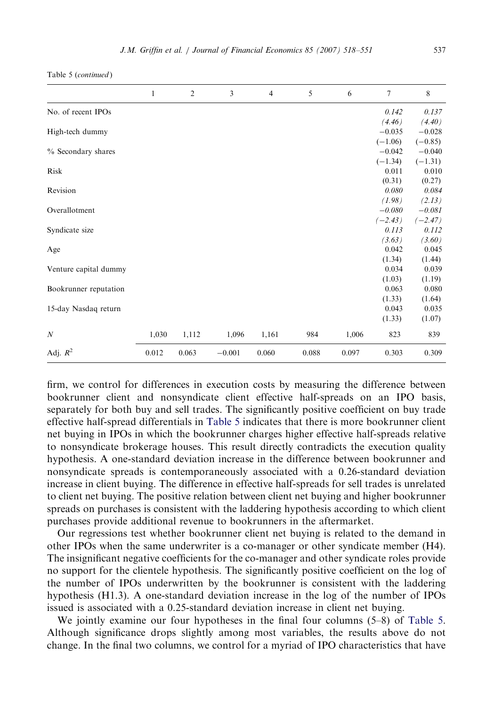Table 5 (continued )

|                       | $\mathbf{1}$ | $\overline{2}$ | 3        | $\overline{4}$ | 5     | 6     | 7         | 8         |
|-----------------------|--------------|----------------|----------|----------------|-------|-------|-----------|-----------|
| No. of recent IPOs    |              |                |          |                |       |       | 0.142     | 0.137     |
|                       |              |                |          |                |       |       | (4.46)    | (4.40)    |
| High-tech dummy       |              |                |          |                |       |       | $-0.035$  | $-0.028$  |
|                       |              |                |          |                |       |       | $(-1.06)$ | $(-0.85)$ |
| % Secondary shares    |              |                |          |                |       |       | $-0.042$  | $-0.040$  |
|                       |              |                |          |                |       |       | $(-1.34)$ | $(-1.31)$ |
| Risk                  |              |                |          |                |       |       | 0.011     | 0.010     |
|                       |              |                |          |                |       |       | (0.31)    | (0.27)    |
| Revision              |              |                |          |                |       |       | 0.080     | 0.084     |
|                       |              |                |          |                |       |       | (1.98)    | (2.13)    |
| Overallotment         |              |                |          |                |       |       | $-0.080$  | $-0.081$  |
|                       |              |                |          |                |       |       | $(-2.43)$ | $(-2.47)$ |
| Syndicate size        |              |                |          |                |       |       | 0.113     | 0.112     |
|                       |              |                |          |                |       |       | (3.63)    | (3.60)    |
| Age                   |              |                |          |                |       |       | 0.042     | 0.045     |
|                       |              |                |          |                |       |       | (1.34)    | (1.44)    |
| Venture capital dummy |              |                |          |                |       |       | 0.034     | 0.039     |
|                       |              |                |          |                |       |       | (1.03)    | (1.19)    |
| Bookrunner reputation |              |                |          |                |       |       | 0.063     | 0.080     |
|                       |              |                |          |                |       |       | (1.33)    | (1.64)    |
| 15-day Nasdaq return  |              |                |          |                |       |       | 0.043     | 0.035     |
|                       |              |                |          |                |       |       | (1.33)    | (1.07)    |
| $\boldsymbol{N}$      | 1,030        | 1,112          | 1,096    | 1,161          | 984   | 1,006 | 823       | 839       |
| Adj. $R^2$            | 0.012        | 0.063          | $-0.001$ | 0.060          | 0.088 | 0.097 | 0.303     | 0.309     |

firm, we control for differences in execution costs by measuring the difference between bookrunner client and nonsyndicate client effective half-spreads on an IPO basis, separately for both buy and sell trades. The significantly positive coefficient on buy trade effective half-spread differentials in [Table 5](#page-18-0) indicates that there is more bookrunner client net buying in IPOs in which the bookrunner charges higher effective half-spreads relative to nonsyndicate brokerage houses. This result directly contradicts the execution quality hypothesis. A one-standard deviation increase in the difference between bookrunner and nonsyndicate spreads is contemporaneously associated with a 0.26-standard deviation increase in client buying. The difference in effective half-spreads for sell trades is unrelated to client net buying. The positive relation between client net buying and higher bookrunner spreads on purchases is consistent with the laddering hypothesis according to which client purchases provide additional revenue to bookrunners in the aftermarket.

Our regressions test whether bookrunner client net buying is related to the demand in other IPOs when the same underwriter is a co-manager or other syndicate member (H4). The insignificant negative coefficients for the co-manager and other syndicate roles provide no support for the clientele hypothesis. The significantly positive coefficient on the log of the number of IPOs underwritten by the bookrunner is consistent with the laddering hypothesis (H1.3). A one-standard deviation increase in the log of the number of IPOs issued is associated with a 0.25-standard deviation increase in client net buying.

We jointly examine our four hypotheses in the final four columns  $(5-8)$  of [Table 5.](#page-18-0) Although significance drops slightly among most variables, the results above do not change. In the final two columns, we control for a myriad of IPO characteristics that have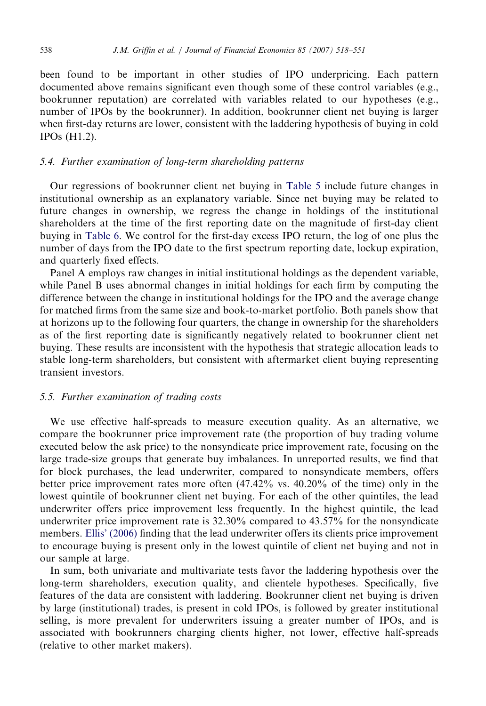been found to be important in other studies of IPO underpricing. Each pattern documented above remains significant even though some of these control variables (e.g., bookrunner reputation) are correlated with variables related to our hypotheses (e.g., number of IPOs by the bookrunner). In addition, bookrunner client net buying is larger when first-day returns are lower, consistent with the laddering hypothesis of buying in cold IPOs (H1.2).

## 5.4. Further examination of long-term shareholding patterns

Our regressions of bookrunner client net buying in [Table 5](#page-18-0) include future changes in institutional ownership as an explanatory variable. Since net buying may be related to future changes in ownership, we regress the change in holdings of the institutional shareholders at the time of the first reporting date on the magnitude of first-day client buying in [Table 6.](#page-21-0) We control for the first-day excess IPO return, the log of one plus the number of days from the IPO date to the first spectrum reporting date, lockup expiration, and quarterly fixed effects.

Panel A employs raw changes in initial institutional holdings as the dependent variable, while Panel B uses abnormal changes in initial holdings for each firm by computing the difference between the change in institutional holdings for the IPO and the average change for matched firms from the same size and book-to-market portfolio. Both panels show that at horizons up to the following four quarters, the change in ownership for the shareholders as of the first reporting date is significantly negatively related to bookrunner client net buying. These results are inconsistent with the hypothesis that strategic allocation leads to stable long-term shareholders, but consistent with aftermarket client buying representing transient investors.

## 5.5. Further examination of trading costs

We use effective half-spreads to measure execution quality. As an alternative, we compare the bookrunner price improvement rate (the proportion of buy trading volume executed below the ask price) to the nonsyndicate price improvement rate, focusing on the large trade-size groups that generate buy imbalances. In unreported results, we find that for block purchases, the lead underwriter, compared to nonsyndicate members, offers better price improvement rates more often (47.42% vs. 40.20% of the time) only in the lowest quintile of bookrunner client net buying. For each of the other quintiles, the lead underwriter offers price improvement less frequently. In the highest quintile, the lead underwriter price improvement rate is 32.30% compared to 43.57% for the nonsyndicate members. [Ellis' \(2006\)](#page-32-0) finding that the lead underwriter offers its clients price improvement to encourage buying is present only in the lowest quintile of client net buying and not in our sample at large.

In sum, both univariate and multivariate tests favor the laddering hypothesis over the long-term shareholders, execution quality, and clientele hypotheses. Specifically, five features of the data are consistent with laddering. Bookrunner client net buying is driven by large (institutional) trades, is present in cold IPOs, is followed by greater institutional selling, is more prevalent for underwriters issuing a greater number of IPOs, and is associated with bookrunners charging clients higher, not lower, effective half-spreads (relative to other market makers).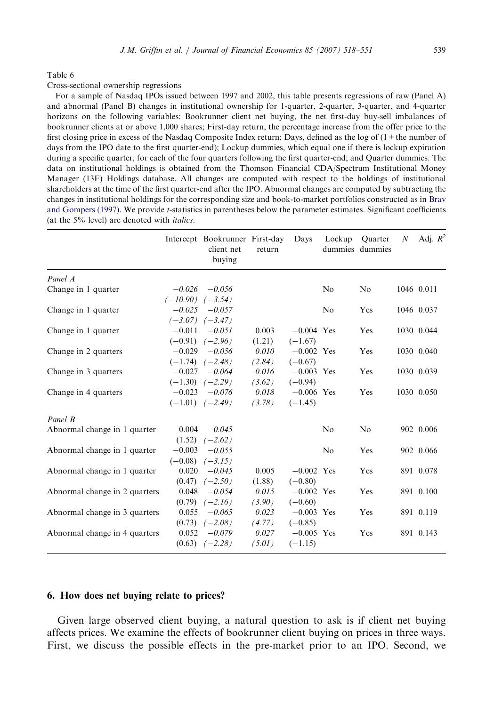<span id="page-21-0"></span>Cross-sectional ownership regressions

For a sample of Nasdaq IPOs issued between 1997 and 2002, this table presents regressions of raw (Panel A) and abnormal (Panel B) changes in institutional ownership for 1-quarter, 2-quarter, 3-quarter, and 4-quarter horizons on the following variables: Bookrunner client net buying, the net first-day buy-sell imbalances of bookrunner clients at or above 1,000 shares; First-day return, the percentage increase from the offer price to the first closing price in excess of the Nasdaq Composite Index return; Days, defined as the log of (1+the number of days from the IPO date to the first quarter-end); Lockup dummies, which equal one if there is lockup expiration during a specific quarter, for each of the four quarters following the first quarter-end; and Quarter dummies. The data on institutional holdings is obtained from the Thomson Financial CDA/Spectrum Institutional Money Manager (13F) Holdings database. All changes are computed with respect to the holdings of institutional shareholders at the time of the first quarter-end after the IPO. Abnormal changes are computed by subtracting the changes in institutional holdings for the corresponding size and book-to-market portfolios constructed as in [Brav](#page-32-0) [and Gompers \(1997\).](#page-32-0) We provide t-statistics in parentheses below the parameter estimates. Significant coefficients (at the 5% level) are denoted with italics.

|                               |                      | Intercept Bookrunner First-day<br>client net<br>buying | return | Days         | Lockup         | Quarter<br>dummies dummies | $\boldsymbol{N}$ | Adj. $R^2$ |
|-------------------------------|----------------------|--------------------------------------------------------|--------|--------------|----------------|----------------------------|------------------|------------|
| Panel A                       |                      |                                                        |        |              |                |                            |                  |            |
| Change in 1 quarter           | $-0.026$             | $-0.056$                                               |        |              | No             | N <sub>0</sub>             |                  | 1046 0.011 |
|                               | $(-10.90)$ $(-3.54)$ |                                                        |        |              |                |                            |                  |            |
| Change in 1 quarter           |                      | $-0.025 -0.057$                                        |        |              | N <sub>0</sub> | Yes                        |                  | 1046 0.037 |
|                               |                      | $(-3.07)$ $(-3.47)$                                    |        |              |                |                            |                  |            |
| Change in 1 quarter           | $-0.011$             | $-0.051$                                               | 0.003  | $-0.004$ Yes |                | Yes                        |                  | 1030 0.044 |
|                               |                      | $(-0.91)$ $(-2.96)$                                    | (1.21) | $(-1.67)$    |                |                            |                  |            |
| Change in 2 quarters          | $-0.029$             | $-0.056$                                               | 0.010  | $-0.002$ Yes |                | Yes                        |                  | 1030 0.040 |
|                               |                      | $(-1.74)$ $(-2.48)$                                    | (2.84) | $(-0.67)$    |                |                            |                  |            |
| Change in 3 quarters          |                      | $-0.027 -0.064$                                        | 0.016  | $-0.003$ Yes |                | Yes                        |                  | 1030 0.039 |
|                               |                      | $(-1.30)$ $(-2.29)$                                    | (3.62) | $(-0.94)$    |                |                            |                  |            |
| Change in 4 quarters          |                      | $-0.023 -0.076$                                        | 0.018  | $-0.006$ Yes |                | Yes                        |                  | 1030 0.050 |
|                               |                      | $(-1.01)$ $(-2.49)$                                    | (3.78) | $(-1.45)$    |                |                            |                  |            |
| Panel B                       |                      |                                                        |        |              |                |                            |                  |            |
| Abnormal change in 1 quarter  | 0.004                | $-0.045$                                               |        |              | N <sub>0</sub> | N <sub>0</sub>             |                  | 902 0.006  |
|                               | (1.52)               | $(-2.62)$                                              |        |              |                |                            |                  |            |
| Abnormal change in 1 quarter  | $-0.003$             | $-0.055$                                               |        |              | N <sub>0</sub> | Yes                        |                  | 902 0.066  |
|                               |                      | $(-0.08)$ $(-3.15)$                                    |        |              |                |                            |                  |            |
| Abnormal change in 1 quarter  | 0.020                | $-0.045$                                               | 0.005  | $-0.002$ Yes |                | Yes                        |                  | 891 0.078  |
|                               | (0.47)               | $(-2.50)$                                              | (1.88) | $(-0.80)$    |                |                            |                  |            |
| Abnormal change in 2 quarters | 0.048                | $-0.054$                                               | 0.015  | $-0.002$ Yes |                | Yes                        |                  | 891 0.100  |
|                               |                      | $(0.79)$ $(-2.16)$                                     | (3.90) | $(-0.60)$    |                |                            |                  |            |
| Abnormal change in 3 quarters | 0.055                | $-0.065$                                               | 0.023  | $-0.003$ Yes |                | <b>Yes</b>                 |                  | 891 0.119  |
|                               |                      | $(0.73)$ $(-2.08)$                                     | (4.77) | $(-0.85)$    |                |                            |                  |            |
| Abnormal change in 4 quarters | 0.052                | $-0.079$                                               | 0.027  | $-0.005$ Yes |                | Yes                        |                  | 891 0.143  |
|                               |                      | $(0.63)$ $(-2.28)$                                     | (5.01) | $(-1.15)$    |                |                            |                  |            |

#### 6. How does net buying relate to prices?

Given large observed client buying, a natural question to ask is if client net buying affects prices. We examine the effects of bookrunner client buying on prices in three ways. First, we discuss the possible effects in the pre-market prior to an IPO. Second, we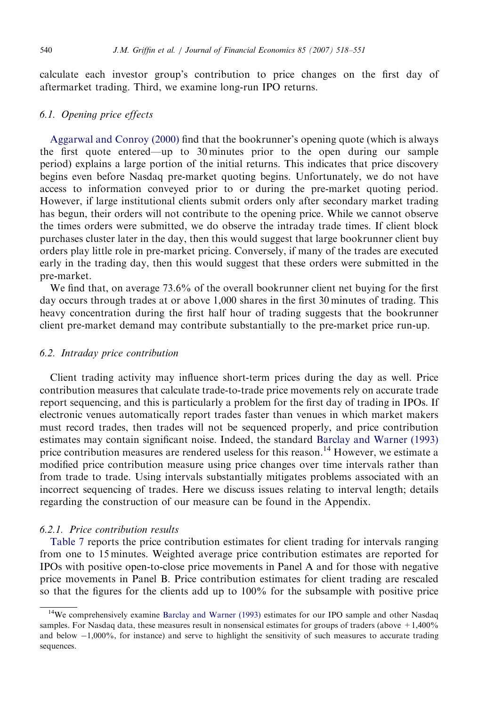calculate each investor group's contribution to price changes on the first day of aftermarket trading. Third, we examine long-run IPO returns.

## 6.1. Opening price effects

[Aggarwal and Conroy \(2000\)](#page-32-0) find that the bookrunner's opening quote (which is always the first quote entered—up to 30 minutes prior to the open during our sample period) explains a large portion of the initial returns. This indicates that price discovery begins even before Nasdaq pre-market quoting begins. Unfortunately, we do not have access to information conveyed prior to or during the pre-market quoting period. However, if large institutional clients submit orders only after secondary market trading has begun, their orders will not contribute to the opening price. While we cannot observe the times orders were submitted, we do observe the intraday trade times. If client block purchases cluster later in the day, then this would suggest that large bookrunner client buy orders play little role in pre-market pricing. Conversely, if many of the trades are executed early in the trading day, then this would suggest that these orders were submitted in the pre-market.

We find that, on average 73.6% of the overall bookrunner client net buying for the first day occurs through trades at or above 1,000 shares in the first 30 minutes of trading. This heavy concentration during the first half hour of trading suggests that the bookrunner client pre-market demand may contribute substantially to the pre-market price run-up.

## 6.2. Intraday price contribution

Client trading activity may influence short-term prices during the day as well. Price contribution measures that calculate trade-to-trade price movements rely on accurate trade report sequencing, and this is particularly a problem for the first day of trading in IPOs. If electronic venues automatically report trades faster than venues in which market makers must record trades, then trades will not be sequenced properly, and price contribution estimates may contain significant noise. Indeed, the standard [Barclay and Warner \(1993\)](#page-32-0) price contribution measures are rendered useless for this reason.<sup>14</sup> However, we estimate a modified price contribution measure using price changes over time intervals rather than from trade to trade. Using intervals substantially mitigates problems associated with an incorrect sequencing of trades. Here we discuss issues relating to interval length; details regarding the construction of our measure can be found in the Appendix.

#### 6.2.1. Price contribution results

[Table 7](#page-23-0) reports the price contribution estimates for client trading for intervals ranging from one to 15 minutes. Weighted average price contribution estimates are reported for IPOs with positive open-to-close price movements in Panel A and for those with negative price movements in Panel B. Price contribution estimates for client trading are rescaled so that the figures for the clients add up to 100% for the subsample with positive price

<sup>&</sup>lt;sup>14</sup>We comprehensively examine [Barclay and Warner \(1993\)](#page-32-0) estimates for our IPO sample and other Nasdaq samples. For Nasdaq data, these measures result in nonsensical estimates for groups of traders (above +1,400%) and below -1,000%, for instance) and serve to highlight the sensitivity of such measures to accurate trading sequences.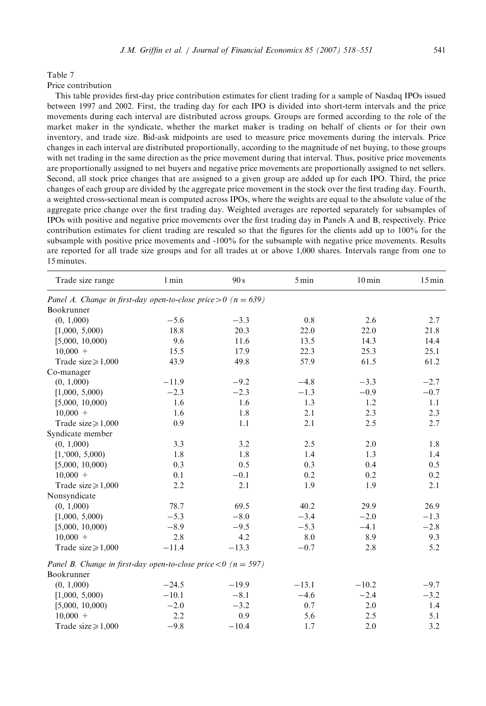#### <span id="page-23-0"></span>Price contribution

This table provides first-day price contribution estimates for client trading for a sample of Nasdaq IPOs issued between 1997 and 2002. First, the trading day for each IPO is divided into short-term intervals and the price movements during each interval are distributed across groups. Groups are formed according to the role of the market maker in the syndicate, whether the market maker is trading on behalf of clients or for their own inventory, and trade size. Bid-ask midpoints are used to measure price movements during the intervals. Price changes in each interval are distributed proportionally, according to the magnitude of net buying, to those groups with net trading in the same direction as the price movement during that interval. Thus, positive price movements are proportionally assigned to net buyers and negative price movements are proportionally assigned to net sellers. Second, all stock price changes that are assigned to a given group are added up for each IPO. Third, the price changes of each group are divided by the aggregate price movement in the stock over the first trading day. Fourth, a weighted cross-sectional mean is computed across IPOs, where the weights are equal to the absolute value of the aggregate price change over the first trading day. Weighted averages are reported separately for subsamples of IPOs with positive and negative price movements over the first trading day in Panels A and B, respectively. Price contribution estimates for client trading are rescaled so that the figures for the clients add up to 100% for the subsample with positive price movements and -100% for the subsample with negative price movements. Results are reported for all trade size groups and for all trades at or above 1,000 shares. Intervals range from one to 15 minutes.

| Trade size range                                                   | 1 min   | 90 s    | 5 min   | $10 \,\mathrm{min}$ | $15 \,\mathrm{min}$ |
|--------------------------------------------------------------------|---------|---------|---------|---------------------|---------------------|
| Panel A. Change in first-day open-to-close price > 0 ( $n = 639$ ) |         |         |         |                     |                     |
| Bookrunner                                                         |         |         |         |                     |                     |
| (0, 1,000)                                                         | $-5.6$  | $-3.3$  | 0.8     | 2.6                 | 2.7                 |
| [1,000, 5,000)                                                     | 18.8    | 20.3    | 22.0    | 22.0                | 21.8                |
| [5,000, 10,000]                                                    | 9.6     | 11.6    | 13.5    | 14.3                | 14.4                |
| $10,000 +$                                                         | 15.5    | 17.9    | 22.3    | 25.3                | 25.1                |
| Trade size $\ge 1,000$                                             | 43.9    | 49.8    | 57.9    | 61.5                | 61.2                |
| Co-manager                                                         |         |         |         |                     |                     |
| (0, 1,000)                                                         | $-11.9$ | $-9.2$  | $-4.8$  | $-3.3$              | $-2.7$              |
| [1,000, 5,000)                                                     | $-2.3$  | $-2.3$  | $-1.3$  | $-0.9$              | $-0.7$              |
| [5,000, 10,000]                                                    | 1.6     | 1.6     | 1.3     | 1.2                 | 1.1                 |
| $10,000 +$                                                         | 1.6     | 1.8     | 2.1     | 2.3                 | 2.3                 |
| Trade size $\geq 1,000$                                            | 0.9     | 1.1     | 2.1     | 2.5                 | 2.7                 |
| Syndicate member                                                   |         |         |         |                     |                     |
| (0, 1,000)                                                         | 3.3     | 3.2     | 2.5     | 2.0                 | 1.8                 |
| [1, 000, 5,000]                                                    | 1.8     | 1.8     | 1.4     | 1.3                 | 1.4                 |
| [5,000, 10,000]                                                    | 0.3     | 0.5     | 0.3     | 0.4                 | 0.5                 |
| $10,000 +$                                                         | 0.1     | $-0.1$  | 0.2     | 0.2                 | 0.2                 |
| Trade size $\geq 1,000$                                            | 2.2     | 2.1     | 1.9     | 1.9                 | 2.1                 |
| Nonsyndicate                                                       |         |         |         |                     |                     |
| (0, 1,000)                                                         | 78.7    | 69.5    | 40.2    | 29.9                | 26.9                |
| [1,000, 5,000)                                                     | $-5.3$  | $-8.0$  | $-3.4$  | $-2.0$              | $-1.3$              |
| [5,000, 10,000]                                                    | $-8.9$  | $-9.5$  | $-5.3$  | $-4.1$              | $-2.8$              |
| $10,000 +$                                                         | 2.8     | 4.2     | 8.0     | 8.9                 | 9.3                 |
| Trade size $\ge 1,000$                                             | $-11.4$ | $-13.3$ | $-0.7$  | 2.8                 | 5.2                 |
| Panel B. Change in first-day open-to-close price < 0 ( $n = 597$ ) |         |         |         |                     |                     |
| Bookrunner                                                         |         |         |         |                     |                     |
| (0, 1,000)                                                         | $-24.5$ | $-19.9$ | $-13.1$ | $-10.2$             | $-9.7$              |
| [1,000, 5,000)                                                     | $-10.1$ | $-8.1$  | $-4.6$  | $-2.4$              | $-3.2$              |
| [5,000, 10,000]                                                    | $-2.0$  | $-3.2$  | 0.7     | 2.0                 | 1.4                 |
| $10,000 +$                                                         | 2.2     | 0.9     | 5.6     | 2.5                 | 5.1                 |
| Trade size $\geq 1,000$                                            | $-9.8$  | $-10.4$ | 1.7     | 2.0                 | 3.2                 |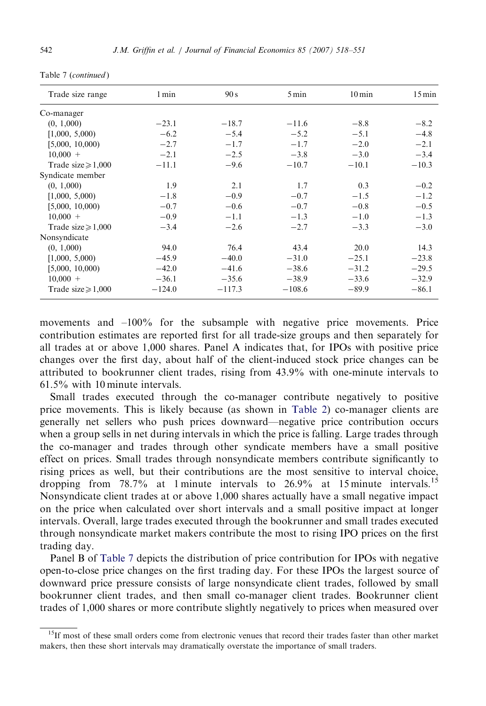| Trade size range       | 1 min    | 90 s     | 5 min    | $10 \,\mathrm{min}$ | $15 \,\mathrm{min}$ |
|------------------------|----------|----------|----------|---------------------|---------------------|
| Co-manager             |          |          |          |                     |                     |
| (0, 1,000)             | $-23.1$  | $-18.7$  | $-11.6$  | $-8.8$              | $-8.2$              |
| [1,000, 5,000)         | $-6.2$   | $-5.4$   | $-5.2$   | $-5.1$              | $-4.8$              |
| [5,000, 10,000]        | $-2.7$   | $-1.7$   | $-1.7$   | $-2.0$              | $-2.1$              |
| $10,000 +$             | $-2.1$   | $-2.5$   | $-3.8$   | $-3.0$              | $-3.4$              |
| Trade size $\ge 1,000$ | $-11.1$  | $-9.6$   | $-10.7$  | $-10.1$             | $-10.3$             |
| Syndicate member       |          |          |          |                     |                     |
| (0, 1,000)             | 1.9      | 2.1      | 1.7      | 0.3                 | $-0.2$              |
| [1,000, 5,000)         | $-1.8$   | $-0.9$   | $-0.7$   | $-1.5$              | $-1.2$              |
| [5,000, 10,000]        | $-0.7$   | $-0.6$   | $-0.7$   | $-0.8$              | $-0.5$              |
| $10,000 +$             | $-0.9$   | $-1.1$   | $-1.3$   | $-1.0$              | $-1.3$              |
| Trade size $\ge 1,000$ | $-3.4$   | $-2.6$   | $-2.7$   | $-3.3$              | $-3.0$              |
| Nonsyndicate           |          |          |          |                     |                     |
| (0, 1,000)             | 94.0     | 76.4     | 43.4     | 20.0                | 14.3                |
| [1,000, 5,000)         | $-45.9$  | $-40.0$  | $-31.0$  | $-25.1$             | $-23.8$             |
| [5,000, 10,000]        | $-42.0$  | $-41.6$  | $-38.6$  | $-31.2$             | $-29.5$             |
| $10,000 +$             | $-36.1$  | $-35.6$  | $-38.9$  | $-33.6$             | $-32.9$             |
| Trade size $\ge 1,000$ | $-124.0$ | $-117.3$ | $-108.6$ | $-89.9$             | $-86.1$             |

Table 7 (continued )

movements and –100% for the subsample with negative price movements. Price contribution estimates are reported first for all trade-size groups and then separately for all trades at or above 1,000 shares. Panel A indicates that, for IPOs with positive price changes over the first day, about half of the client-induced stock price changes can be attributed to bookrunner client trades, rising from 43.9% with one-minute intervals to 61.5% with 10 minute intervals.

Small trades executed through the co-manager contribute negatively to positive price movements. This is likely because (as shown in [Table 2\)](#page-11-0) co-manager clients are generally net sellers who push prices downward—negative price contribution occurs when a group sells in net during intervals in which the price is falling. Large trades through the co-manager and trades through other syndicate members have a small positive effect on prices. Small trades through nonsyndicate members contribute significantly to rising prices as well, but their contributions are the most sensitive to interval choice, dropping from 78.7% at 1 minute intervals to  $26.9\%$  at 15 minute intervals.<sup>15</sup> Nonsyndicate client trades at or above 1,000 shares actually have a small negative impact on the price when calculated over short intervals and a small positive impact at longer intervals. Overall, large trades executed through the bookrunner and small trades executed through nonsyndicate market makers contribute the most to rising IPO prices on the first trading day.

Panel B of [Table 7](#page-23-0) depicts the distribution of price contribution for IPOs with negative open-to-close price changes on the first trading day. For these IPOs the largest source of downward price pressure consists of large nonsyndicate client trades, followed by small bookrunner client trades, and then small co-manager client trades. Bookrunner client trades of 1,000 shares or more contribute slightly negatively to prices when measured over

<sup>&</sup>lt;sup>15</sup>If most of these small orders come from electronic venues that record their trades faster than other market makers, then these short intervals may dramatically overstate the importance of small traders.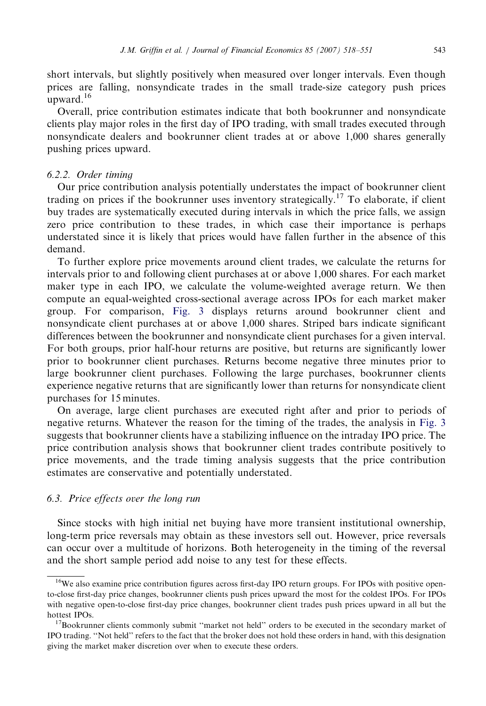short intervals, but slightly positively when measured over longer intervals. Even though prices are falling, nonsyndicate trades in the small trade-size category push prices upward. $16$ 

Overall, price contribution estimates indicate that both bookrunner and nonsyndicate clients play major roles in the first day of IPO trading, with small trades executed through nonsyndicate dealers and bookrunner client trades at or above 1,000 shares generally pushing prices upward.

## 6.2.2. Order timing

Our price contribution analysis potentially understates the impact of bookrunner client trading on prices if the bookrunner uses inventory strategically.<sup>17</sup> To elaborate, if client buy trades are systematically executed during intervals in which the price falls, we assign zero price contribution to these trades, in which case their importance is perhaps understated since it is likely that prices would have fallen further in the absence of this demand.

To further explore price movements around client trades, we calculate the returns for intervals prior to and following client purchases at or above 1,000 shares. For each market maker type in each IPO, we calculate the volume-weighted average return. We then compute an equal-weighted cross-sectional average across IPOs for each market maker group. For comparison, [Fig. 3](#page-26-0) displays returns around bookrunner client and nonsyndicate client purchases at or above 1,000 shares. Striped bars indicate significant differences between the bookrunner and nonsyndicate client purchases for a given interval. For both groups, prior half-hour returns are positive, but returns are significantly lower prior to bookrunner client purchases. Returns become negative three minutes prior to large bookrunner client purchases. Following the large purchases, bookrunner clients experience negative returns that are significantly lower than returns for nonsyndicate client purchases for 15 minutes.

On average, large client purchases are executed right after and prior to periods of negative returns. Whatever the reason for the timing of the trades, the analysis in [Fig. 3](#page-26-0) suggests that bookrunner clients have a stabilizing influence on the intraday IPO price. The price contribution analysis shows that bookrunner client trades contribute positively to price movements, and the trade timing analysis suggests that the price contribution estimates are conservative and potentially understated.

## 6.3. Price effects over the long run

Since stocks with high initial net buying have more transient institutional ownership, long-term price reversals may obtain as these investors sell out. However, price reversals can occur over a multitude of horizons. Both heterogeneity in the timing of the reversal and the short sample period add noise to any test for these effects.

<sup>&</sup>lt;sup>16</sup>We also examine price contribution figures across first-day IPO return groups. For IPOs with positive opento-close first-day price changes, bookrunner clients push prices upward the most for the coldest IPOs. For IPOs with negative open-to-close first-day price changes, bookrunner client trades push prices upward in all but the hottest IPOs.<br><sup>17</sup>Bookrunner clients commonly submit "market not held" orders to be executed in the secondary market of

IPO trading. ''Not held'' refers to the fact that the broker does not hold these orders in hand, with this designation giving the market maker discretion over when to execute these orders.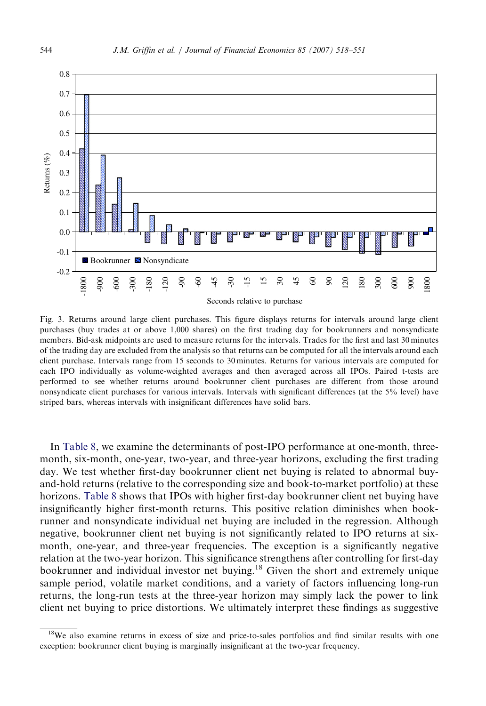<span id="page-26-0"></span>

Fig. 3. Returns around large client purchases. This figure displays returns for intervals around large client purchases (buy trades at or above 1,000 shares) on the first trading day for bookrunners and nonsyndicate members. Bid-ask midpoints are used to measure returns for the intervals. Trades for the first and last 30 minutes of the trading day are excluded from the analysis so that returns can be computed for all the intervals around each client purchase. Intervals range from 15 seconds to 30 minutes. Returns for various intervals are computed for each IPO individually as volume-weighted averages and then averaged across all IPOs. Paired t-tests are performed to see whether returns around bookrunner client purchases are different from those around nonsyndicate client purchases for various intervals. Intervals with significant differences (at the 5% level) have striped bars, whereas intervals with insignificant differences have solid bars.

In [Table 8](#page-27-0), we examine the determinants of post-IPO performance at one-month, threemonth, six-month, one-year, two-year, and three-year horizons, excluding the first trading day. We test whether first-day bookrunner client net buying is related to abnormal buyand-hold returns (relative to the corresponding size and book-to-market portfolio) at these horizons. [Table 8](#page-27-0) shows that IPOs with higher first-day bookrunner client net buying have insignificantly higher first-month returns. This positive relation diminishes when bookrunner and nonsyndicate individual net buying are included in the regression. Although negative, bookrunner client net buying is not significantly related to IPO returns at sixmonth, one-year, and three-year frequencies. The exception is a significantly negative relation at the two-year horizon. This significance strengthens after controlling for first-day bookrunner and individual investor net buying.<sup>18</sup> Given the short and extremely unique sample period, volatile market conditions, and a variety of factors influencing long-run returns, the long-run tests at the three-year horizon may simply lack the power to link client net buying to price distortions. We ultimately interpret these findings as suggestive

<sup>&</sup>lt;sup>18</sup>We also examine returns in excess of size and price-to-sales portfolios and find similar results with one exception: bookrunner client buying is marginally insignificant at the two-year frequency.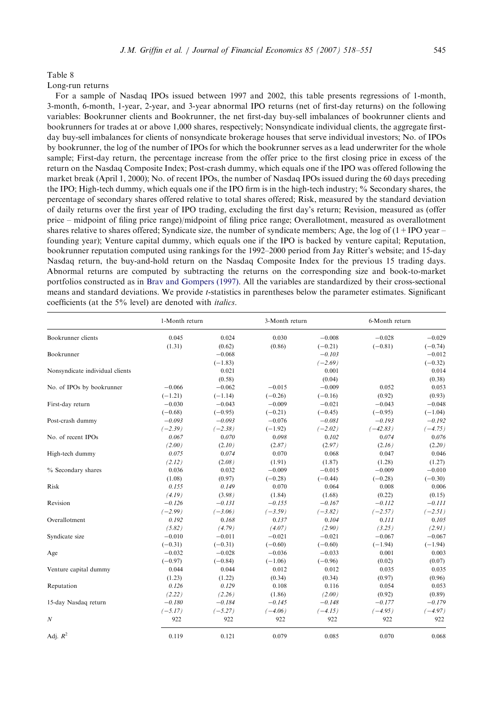#### <span id="page-27-0"></span>Long-run returns

For a sample of Nasdaq IPOs issued between 1997 and 2002, this table presents regressions of 1-month, 3-month, 6-month, 1-year, 2-year, and 3-year abnormal IPO returns (net of first-day returns) on the following variables: Bookrunner clients and Bookrunner, the net first-day buy-sell imbalances of bookrunner clients and bookrunners for trades at or above 1,000 shares, respectively; Nonsyndicate individual clients, the aggregate firstday buy-sell imbalances for clients of nonsyndicate brokerage houses that serve individual investors; No. of IPOs by bookrunner, the log of the number of IPOs for which the bookrunner serves as a lead underwriter for the whole sample; First-day return, the percentage increase from the offer price to the first closing price in excess of the return on the Nasdaq Composite Index; Post-crash dummy, which equals one if the IPO was offered following the market break (April 1, 2000); No. of recent IPOs, the number of Nasdaq IPOs issued during the 60 days preceding the IPO; High-tech dummy, which equals one if the IPO firm is in the high-tech industry; % Secondary shares, the percentage of secondary shares offered relative to total shares offered; Risk, measured by the standard deviation of daily returns over the first year of IPO trading, excluding the first day's return; Revision, measured as (offer price – midpoint of filing price range)/midpoint of filing price range; Overallotment, measured as overallotment shares relative to shares offered; Syndicate size, the number of syndicate members; Age, the log of  $(1+IPO$  year – founding year); Venture capital dummy, which equals one if the IPO is backed by venture capital; Reputation, bookrunner reputation computed using rankings for the 1992–2000 period from Jay Ritter's website; and 15-day Nasdaq return, the buy-and-hold return on the Nasdaq Composite Index for the previous 15 trading days. Abnormal returns are computed by subtracting the returns on the corresponding size and book-to-market portfolios constructed as in [Brav and Gompers \(1997\).](#page-32-0) All the variables are standardized by their cross-sectional means and standard deviations. We provide t-statistics in parentheses below the parameter estimates. Significant coefficients (at the 5% level) are denoted with italics.

|                                 | 1-Month return |           | 3-Month return |           | 6-Month return |           |
|---------------------------------|----------------|-----------|----------------|-----------|----------------|-----------|
| Bookrunner clients              | 0.045          | 0.024     | 0.030          | $-0.008$  | $-0.028$       | $-0.029$  |
|                                 | (1.31)         | (0.62)    | (0.86)         | $(-0.21)$ | $(-0.81)$      | $(-0.74)$ |
| Bookrunner                      |                | $-0.068$  |                | $-0.103$  |                | $-0.012$  |
|                                 |                | $(-1.83)$ |                | $(-2.69)$ |                | $(-0.32)$ |
| Nonsyndicate individual clients |                | 0.021     |                | 0.001     |                | 0.014     |
|                                 |                | (0.58)    |                | (0.04)    |                | (0.38)    |
| No. of IPOs by bookrunner       | $-0.066$       | $-0.062$  | $-0.015$       | $-0.009$  | 0.052          | 0.053     |
|                                 | $(-1.21)$      | $(-1.14)$ | $(-0.26)$      | $(-0.16)$ | (0.92)         | (0.93)    |
| First-day return                | $-0.030$       | $-0.043$  | $-0.009$       | $-0.021$  | $-0.043$       | $-0.048$  |
|                                 | $(-0.68)$      | $(-0.95)$ | $(-0.21)$      | $(-0.45)$ | $(-0.95)$      | $(-1.04)$ |
| Post-crash dummy                | $-0.093$       | $-0.093$  | $-0.076$       | $-0.081$  | $-0.193$       | $-0.192$  |
|                                 | $(-2.39)$      | $(-2.38)$ | $(-1.92)$      | $(-2.02)$ | $(-42.83)$     | $(-4.75)$ |
| No. of recent IPOs              | 0.067          | 0.070     | 0.098          | 0.102     | 0.074          | 0.076     |
|                                 | (2.00)         | (2.10)    | (2.87)         | (2.97)    | (2.16)         | (2.20)    |
| High-tech dummy                 | 0.075          | 0.074     | 0.070          | 0.068     | 0.047          | 0.046     |
|                                 | (2.12)         | (2.08)    | (1.91)         | (1.87)    | (1.28)         | (1.27)    |
| % Secondary shares              | 0.036          | 0.032     | $-0.009$       | $-0.015$  | $-0.009$       | $-0.010$  |
|                                 | (1.08)         | (0.97)    | $(-0.28)$      | $(-0.44)$ | $(-0.28)$      | $(-0.30)$ |
| Risk                            | 0.155          | 0.149     | 0.070          | 0.064     | 0.008          | 0.006     |
|                                 | (4.19)         | (3.98)    | (1.84)         | (1.68)    | (0.22)         | (0.15)    |
| Revision                        | $-0.126$       | $-0.131$  | $-0.155$       | $-0.167$  | $-0.112$       | $-0.111$  |
|                                 | $(-2.99)$      | $(-3.06)$ | $(-3.59)$      | $(-3.82)$ | $(-2.57)$      | $(-2.51)$ |
| Overallotment                   | 0.192          | 0.168     | 0.137          | 0.104     | 0.111          | 0.105     |
|                                 | (5.82)         | (4.79)    | (4.07)         | (2.90)    | (3.25)         | (2.91)    |
| Syndicate size                  | $-0.010$       | $-0.011$  | $-0.021$       | $-0.021$  | $-0.067$       | $-0.067$  |
|                                 | $(-0.31)$      | $(-0.31)$ | $(-0.60)$      | $(-0.60)$ | $(-1.94)$      | $(-1.94)$ |
| Age                             | $-0.032$       | $-0.028$  | $-0.036$       | $-0.033$  | 0.001          | 0.003     |
|                                 | $(-0.97)$      | $(-0.84)$ | $(-1.06)$      | $(-0.96)$ | (0.02)         | (0.07)    |
| Venture capital dummy           | 0.044          | 0.044     | 0.012          | 0.012     | 0.035          | 0.035     |
|                                 | (1.23)         | (1.22)    | (0.34)         | (0.34)    | (0.97)         | (0.96)    |
| Reputation                      | 0.126          | 0.129     | 0.108          | 0.116     | 0.054          | 0.053     |
|                                 | (2.22)         | (2.26)    | (1.86)         | (2.00)    | (0.92)         | (0.89)    |
| 15-day Nasdaq return            | $-0.180$       | $-0.184$  | $-0.145$       | $-0.148$  | $-0.177$       | $-0.179$  |
|                                 | $(-5.17)$      | $(-5.27)$ | $(-4.06)$      | $(-4.15)$ | $(-4.95)$      | $(-4.97)$ |
| N                               | 922            | 922       | 922            | 922       | 922            | 922       |
| Adj. $R^2$                      | 0.119          | 0.121     | 0.079          | 0.085     | 0.070          | 0.068     |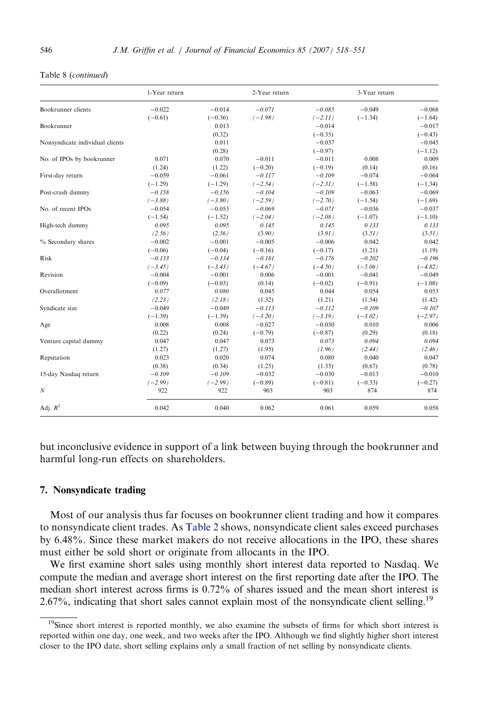#### Table 8 (continued)

|                                 | 1-Year return |           | 2-Year return |           | 3-Year return |           |
|---------------------------------|---------------|-----------|---------------|-----------|---------------|-----------|
| Bookrunner clients              | $-0.022$      | $-0.014$  | $-0.071$      | $-0.085$  | $-0.049$      | $-0.068$  |
|                                 | $(-0.61)$     | $(-0.36)$ | $(-1.98)$     | $(-2.11)$ | $(-1.34)$     | $(-1.64)$ |
| Bookrunner                      |               | 0.013     |               | $-0.014$  |               | $-0.017$  |
|                                 |               | (0.32)    |               | $(-0.35)$ |               | $(-0.43)$ |
| Nonsyndicate individual clients |               | 0.011     |               | $-0.037$  |               | $-0.045$  |
|                                 |               | (0.28)    |               | $(-0.97)$ |               | $(-1.12)$ |
| No. of IPOs by bookrunner       | 0.071         | 0.070     | $-0.011$      | $-0.011$  | 0.008         | 0.009     |
|                                 | (1.24)        | (1.22)    | $(-0.20)$     | $(-0.19)$ | (0.14)        | (0.16)    |
| First-day return                | $-0.059$      | $-0.061$  | $-0.117$      | $-0.109$  | $-0.074$      | $-0.064$  |
|                                 | $(-1.29)$     | $(-1.29)$ | $(-2.54)$     | $(-2.31)$ | $(-1.58)$     | $(-1.34)$ |
| Post-crash dummy                | $-0.158$      | $-0.156$  | $-0.104$      | $-0.109$  | $-0.063$      | $-0.069$  |
|                                 | $(-3.88)$     | $(-3.80)$ | $(-2.59)$     | $(-2.70)$ | $(-1.54)$     | $(-1.69)$ |
| No. of recent IPOs              | $-0.054$      | $-0.053$  | $-0.069$      | $-0.071$  | $-0.036$      | $-0.037$  |
|                                 | $(-1.54)$     | $(-1.52)$ | $(-2.04)$     | $(-2.08)$ | $(-1.07)$     | $(-1.10)$ |
| High-tech dummy                 | 0.095         | 0.095     | 0.145         | 0.145     | 0.133         | 0.133     |
|                                 | (2.56)        | (2.56)    | (3.90)        | (3.91)    | (3.51)        | (3.51)    |
| % Secondary shares              | $-0.002$      | $-0.001$  | $-0.005$      | $-0.006$  | 0.042         | 0.042     |
|                                 | $(-0.06)$     | $(-0.04)$ | $(-0.16)$     | $(-0.17)$ | (1.21)        | (1.19)    |
| Risk                            | $-0.133$      | $-0.134$  | $-0.181$      | $-0.176$  | $-0.202$      | $-0.196$  |
|                                 | $(-3.45)$     | $(-3.43)$ | $(-4.67)$     | $(-4.50)$ | $(-5.06)$     | $(-4.82)$ |
| Revision                        | $-0.004$      | $-0.001$  | 0.006         | $-0.001$  | $-0.041$      | $-0.049$  |
|                                 | $(-0.09)$     | $(-0.03)$ | (0.14)        | $(-0.02)$ | $(-0.91)$     | $(-1.08)$ |
| Overallotment                   | 0.077         | 0.080     | 0.045         | 0.044     | 0.054         | 0.053     |
|                                 | (2.23)        | (2.18)    | (1.32)        | (1.21)    | (1.54)        | (1.42)    |
| Syndicate size                  | $-0.049$      | $-0.049$  | $-0.113$      | $-0.112$  | $-0.109$      | $-0.107$  |
|                                 | $(-1.39)$     | $(-1.39)$ | $(-3.20)$     | $(-3.19)$ | $(-3.02)$     | $(-2.97)$ |
| Age                             | 0.008         | 0.008     | $-0.027$      | $-0.030$  | 0.010         | 0.006     |
|                                 | (0.22)        | (0.24)    | $(-0.79)$     | $(-0.87)$ | (0.29)        | (0.18)    |
| Venture capital dummy           | 0.047         | 0.047     | 0.073         | 0.073     | 0.094         | 0.094     |
|                                 | (1.27)        | (1.27)    | (1.95)        | (1.96)    | (2.44)        | (2.46)    |
| Reputation                      | 0.023         | 0.020     | 0.074         | 0.080     | 0.040         | 0.047     |
|                                 | (0.38)        | (0.34)    | (1.25)        | (1.35)    | (0.67)        | (0.78)    |
| 15-day Nasdaq return            | $-0.109$      | $-0.109$  | $-0.032$      | $-0.030$  | $-0.013$      | $-0.010$  |
|                                 | $(-2.99)$     | $(-2.99)$ | $(-0.89)$     | $(-0.81)$ | $(-0.33)$     | $(-0.27)$ |
| $\cal N$                        | 922           | 922       | 903           | 903       | 874           | 874       |
| Adj. $R^2$                      | 0.042         | 0.040     | 0.062         | 0.061     | 0.059         | 0.058     |

but inconclusive evidence in support of a link between buying through the bookrunner and harmful long-run effects on shareholders.

## 7. Nonsyndicate trading

Most of our analysis thus far focuses on bookrunner client trading and how it compares to nonsyndicate client trades. As [Table 2](#page-11-0) shows, nonsyndicate client sales exceed purchases by 6.48%. Since these market makers do not receive allocations in the IPO, these shares must either be sold short or originate from allocants in the IPO.

We first examine short sales using monthly short interest data reported to Nasdaq. We compute the median and average short interest on the first reporting date after the IPO. The median short interest across firms is 0.72% of shares issued and the mean short interest is 2.67%, indicating that short sales cannot explain most of the nonsyndicate client selling.<sup>19</sup>

<sup>&</sup>lt;sup>19</sup>Since short interest is reported monthly, we also examine the subsets of firms for which short interest is reported within one day, one week, and two weeks after the IPO. Although we find slightly higher short interest closer to the IPO date, short selling explains only a small fraction of net selling by nonsyndicate clients.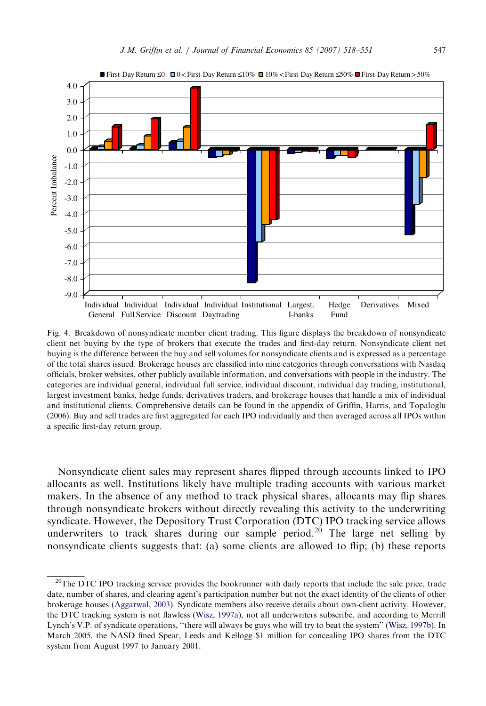<span id="page-29-0"></span>

Fig. 4. Breakdown of nonsyndicate member client trading. This figure displays the breakdown of nonsyndicate client net buying by the type of brokers that execute the trades and first-day return. Nonsyndicate client net buying is the difference between the buy and sell volumes for nonsyndicate clients and is expressed as a percentage of the total shares issued. Brokerage houses are classified into nine categories through conversations with Nasdaq officials, broker websites, other publicly available information, and conversations with people in the industry. The categories are individual general, individual full service, individual discount, individual day trading, institutional, largest investment banks, hedge funds, derivatives traders, and brokerage houses that handle a mix of individual and institutional clients. Comprehensive details can be found in the appendix of Griffin, Harris, and Topaloglu (2006). Buy and sell trades are first aggregated for each IPO individually and then averaged across all IPOs within a specific first-day return group.

Nonsyndicate client sales may represent shares flipped through accounts linked to IPO allocants as well. Institutions likely have multiple trading accounts with various market makers. In the absence of any method to track physical shares, allocants may flip shares through nonsyndicate brokers without directly revealing this activity to the underwriting syndicate. However, the Depository Trust Corporation (DTC) IPO tracking service allows underwriters to track shares during our sample period.<sup>20</sup> The large net selling by nonsyndicate clients suggests that: (a) some clients are allowed to flip; (b) these reports

 $20$ The DTC IPO tracking service provides the bookrunner with daily reports that include the sale price, trade date, number of shares, and clearing agent's participation number but not the exact identity of the clients of other brokerage houses [\(Aggarwal, 2003\)](#page-32-0). Syndicate members also receive details about own-client activity. However, the DTC tracking system is not flawless [\(Wisz, 1997a\)](#page-33-0), not all underwriters subscribe, and according to Merrill Lynch's V.P. of syndicate operations, ''there will always be guys who will try to beat the system'' [\(Wisz, 1997b](#page-33-0)). In March 2005, the NASD fined Spear, Leeds and Kellogg \$1 million for concealing IPO shares from the DTC system from August 1997 to January 2001.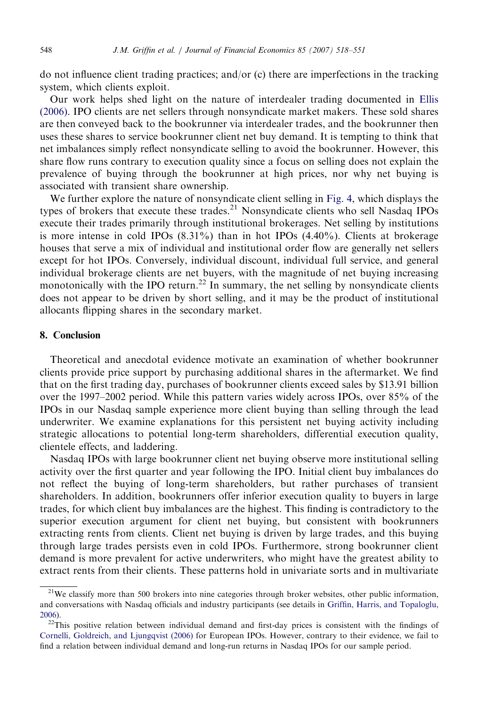do not influence client trading practices; and/or (c) there are imperfections in the tracking system, which clients exploit.

Our work helps shed light on the nature of interdealer trading documented in [Ellis](#page-32-0) [\(2006\).](#page-32-0) IPO clients are net sellers through nonsyndicate market makers. These sold shares are then conveyed back to the bookrunner via interdealer trades, and the bookrunner then uses these shares to service bookrunner client net buy demand. It is tempting to think that net imbalances simply reflect nonsyndicate selling to avoid the bookrunner. However, this share flow runs contrary to execution quality since a focus on selling does not explain the prevalence of buying through the bookrunner at high prices, nor why net buying is associated with transient share ownership.

We further explore the nature of nonsyndicate client selling in [Fig. 4](#page-29-0), which displays the types of brokers that execute these trades.<sup>21</sup> Nonsyndicate clients who sell Nasdaq IPOs execute their trades primarily through institutional brokerages. Net selling by institutions is more intense in cold IPOs (8.31%) than in hot IPOs (4.40%). Clients at brokerage houses that serve a mix of individual and institutional order flow are generally net sellers except for hot IPOs. Conversely, individual discount, individual full service, and general individual brokerage clients are net buyers, with the magnitude of net buying increasing monotonically with the IPO return.<sup>22</sup> In summary, the net selling by nonsyndicate clients does not appear to be driven by short selling, and it may be the product of institutional allocants flipping shares in the secondary market.

## 8. Conclusion

Theoretical and anecdotal evidence motivate an examination of whether bookrunner clients provide price support by purchasing additional shares in the aftermarket. We find that on the first trading day, purchases of bookrunner clients exceed sales by \$13.91 billion over the 1997–2002 period. While this pattern varies widely across IPOs, over 85% of the IPOs in our Nasdaq sample experience more client buying than selling through the lead underwriter. We examine explanations for this persistent net buying activity including strategic allocations to potential long-term shareholders, differential execution quality, clientele effects, and laddering.

Nasdaq IPOs with large bookrunner client net buying observe more institutional selling activity over the first quarter and year following the IPO. Initial client buy imbalances do not reflect the buying of long-term shareholders, but rather purchases of transient shareholders. In addition, bookrunners offer inferior execution quality to buyers in large trades, for which client buy imbalances are the highest. This finding is contradictory to the superior execution argument for client net buying, but consistent with bookrunners extracting rents from clients. Client net buying is driven by large trades, and this buying through large trades persists even in cold IPOs. Furthermore, strong bookrunner client demand is more prevalent for active underwriters, who might have the greatest ability to extract rents from their clients. These patterns hold in univariate sorts and in multivariate

 $2<sup>1</sup>$ We classify more than 500 brokers into nine categories through broker websites, other public information, and conversations with Nasdaq officials and industry participants (see details in [Griffin, Harris, and Topaloglu,](#page-32-0) [2006](#page-32-0)).<br><sup>22</sup>This positive relation between individual demand and first-day prices is consistent with the findings of

[Cornelli, Goldreich, and Ljungqvist \(2006\)](#page-32-0) for European IPOs. However, contrary to their evidence, we fail to find a relation between individual demand and long-run returns in Nasdaq IPOs for our sample period.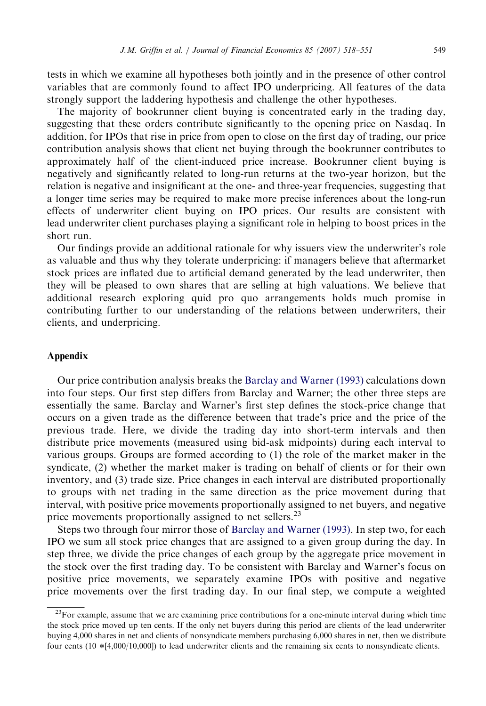tests in which we examine all hypotheses both jointly and in the presence of other control variables that are commonly found to affect IPO underpricing. All features of the data strongly support the laddering hypothesis and challenge the other hypotheses.

The majority of bookrunner client buying is concentrated early in the trading day, suggesting that these orders contribute significantly to the opening price on Nasdaq. In addition, for IPOs that rise in price from open to close on the first day of trading, our price contribution analysis shows that client net buying through the bookrunner contributes to approximately half of the client-induced price increase. Bookrunner client buying is negatively and significantly related to long-run returns at the two-year horizon, but the relation is negative and insignificant at the one- and three-year frequencies, suggesting that a longer time series may be required to make more precise inferences about the long-run effects of underwriter client buying on IPO prices. Our results are consistent with lead underwriter client purchases playing a significant role in helping to boost prices in the short run.

Our findings provide an additional rationale for why issuers view the underwriter's role as valuable and thus why they tolerate underpricing: if managers believe that aftermarket stock prices are inflated due to artificial demand generated by the lead underwriter, then they will be pleased to own shares that are selling at high valuations. We believe that additional research exploring quid pro quo arrangements holds much promise in contributing further to our understanding of the relations between underwriters, their clients, and underpricing.

## Appendix

Our price contribution analysis breaks the [Barclay and Warner \(1993\)](#page-32-0) calculations down into four steps. Our first step differs from Barclay and Warner; the other three steps are essentially the same. Barclay and Warner's first step defines the stock-price change that occurs on a given trade as the difference between that trade's price and the price of the previous trade. Here, we divide the trading day into short-term intervals and then distribute price movements (measured using bid-ask midpoints) during each interval to various groups. Groups are formed according to (1) the role of the market maker in the syndicate, (2) whether the market maker is trading on behalf of clients or for their own inventory, and (3) trade size. Price changes in each interval are distributed proportionally to groups with net trading in the same direction as the price movement during that interval, with positive price movements proportionally assigned to net buyers, and negative price movements proportionally assigned to net sellers.<sup>23</sup>

Steps two through four mirror those of [Barclay and Warner \(1993\)](#page-32-0). In step two, for each IPO we sum all stock price changes that are assigned to a given group during the day. In step three, we divide the price changes of each group by the aggregate price movement in the stock over the first trading day. To be consistent with Barclay and Warner's focus on positive price movements, we separately examine IPOs with positive and negative price movements over the first trading day. In our final step, we compute a weighted

 $23$ For example, assume that we are examining price contributions for a one-minute interval during which time the stock price moved up ten cents. If the only net buyers during this period are clients of the lead underwriter buying 4,000 shares in net and clients of nonsyndicate members purchasing 6,000 shares in net, then we distribute four cents (10  $*[4,000/10,000]$ ) to lead underwriter clients and the remaining six cents to nonsyndicate clients.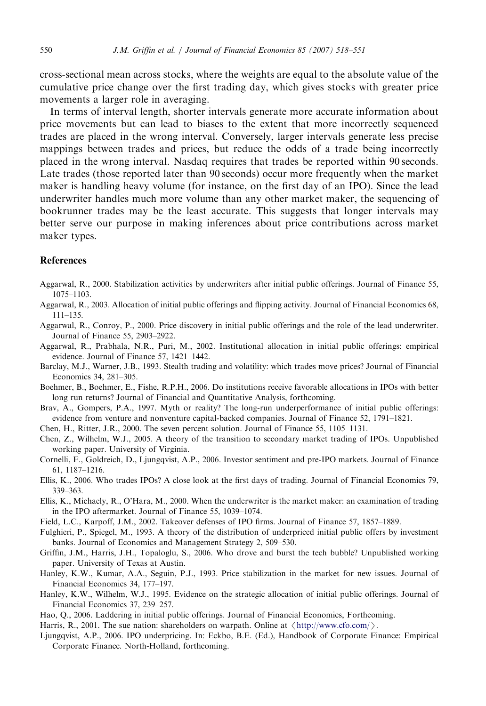<span id="page-32-0"></span>cross-sectional mean across stocks, where the weights are equal to the absolute value of the cumulative price change over the first trading day, which gives stocks with greater price movements a larger role in averaging.

In terms of interval length, shorter intervals generate more accurate information about price movements but can lead to biases to the extent that more incorrectly sequenced trades are placed in the wrong interval. Conversely, larger intervals generate less precise mappings between trades and prices, but reduce the odds of a trade being incorrectly placed in the wrong interval. Nasdaq requires that trades be reported within 90 seconds. Late trades (those reported later than 90 seconds) occur more frequently when the market maker is handling heavy volume (for instance, on the first day of an IPO). Since the lead underwriter handles much more volume than any other market maker, the sequencing of bookrunner trades may be the least accurate. This suggests that longer intervals may better serve our purpose in making inferences about price contributions across market maker types.

## References

- Aggarwal, R., 2000. Stabilization activities by underwriters after initial public offerings. Journal of Finance 55, 1075–1103.
- Aggarwal, R., 2003. Allocation of initial public offerings and flipping activity. Journal of Financial Economics 68, 111–135.
- Aggarwal, R., Conroy, P., 2000. Price discovery in initial public offerings and the role of the lead underwriter. Journal of Finance 55, 2903–2922.
- Aggarwal, R., Prabhala, N.R., Puri, M., 2002. Institutional allocation in initial public offerings: empirical evidence. Journal of Finance 57, 1421–1442.
- Barclay, M.J., Warner, J.B., 1993. Stealth trading and volatility: which trades move prices? Journal of Financial Economics 34, 281–305.
- Boehmer, B., Boehmer, E., Fishe, R.P.H., 2006. Do institutions receive favorable allocations in IPOs with better long run returns? Journal of Financial and Quantitative Analysis, forthcoming.
- Brav, A., Gompers, P.A., 1997. Myth or reality? The long-run underperformance of initial public offerings: evidence from venture and nonventure capital-backed companies. Journal of Finance 52, 1791–1821.

Chen, H., Ritter, J.R., 2000. The seven percent solution. Journal of Finance 55, 1105–1131.

- Chen, Z., Wilhelm, W.J., 2005. A theory of the transition to secondary market trading of IPOs. Unpublished working paper. University of Virginia.
- Cornelli, F., Goldreich, D., Ljungqvist, A.P., 2006. Investor sentiment and pre-IPO markets. Journal of Finance 61, 1187–1216.
- Ellis, K., 2006. Who trades IPOs? A close look at the first days of trading. Journal of Financial Economics 79, 339–363.
- Ellis, K., Michaely, R., O'Hara, M., 2000. When the underwriter is the market maker: an examination of trading in the IPO aftermarket. Journal of Finance 55, 1039–1074.
- Field, L.C., Karpoff, J.M., 2002. Takeover defenses of IPO firms. Journal of Finance 57, 1857–1889.
- Fulghieri, P., Spiegel, M., 1993. A theory of the distribution of underpriced initial public offers by investment banks. Journal of Economics and Management Strategy 2, 509–530.
- Griffin, J.M., Harris, J.H., Topaloglu, S., 2006. Who drove and burst the tech bubble? Unpublished working paper. University of Texas at Austin.
- Hanley, K.W., Kumar, A.A., Seguin, P.J., 1993. Price stabilization in the market for new issues. Journal of Financial Economics 34, 177–197.
- Hanley, K.W., Wilhelm, W.J., 1995. Evidence on the strategic allocation of initial public offerings. Journal of Financial Economics 37, 239–257.
- Hao, Q., 2006. Laddering in initial public offerings. Journal of Financial Economics, Forthcoming.
- Harris, R., 2001. The sue nation: shareholders on warpath. Online at  $\langle \text{http://www.cfo.com/}\rangle$  $\langle \text{http://www.cfo.com/}\rangle$  $\langle \text{http://www.cfo.com/}\rangle$ .
- Ljungqvist, A.P., 2006. IPO underpricing. In: Eckbo, B.E. (Ed.), Handbook of Corporate Finance: Empirical Corporate Finance. North-Holland, forthcoming.